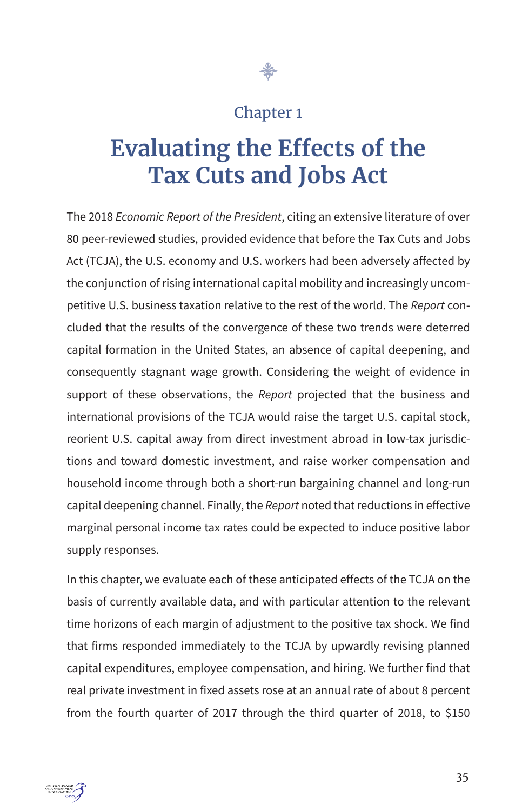### Chapter 1

xx

# **Evaluating the Effects of the Tax Cuts and Jobs Act**

The 2018 *Economic Report of the President*, citing an extensive literature of over 80 peer-reviewed studies, provided evidence that before the Tax Cuts and Jobs Act (TCJA), the U.S. economy and U.S. workers had been adversely affected by the conjunction of rising international capital mobility and increasingly uncompetitive U.S. business taxation relative to the rest of the world. The *Report* concluded that the results of the convergence of these two trends were deterred capital formation in the United States, an absence of capital deepening, and consequently stagnant wage growth. Considering the weight of evidence in support of these observations, the *Report* projected that the business and international provisions of the TCJA would raise the target U.S. capital stock, reorient U.S. capital away from direct investment abroad in low-tax jurisdictions and toward domestic investment, and raise worker compensation and household income through both a short-run bargaining channel and long-run capital deepening channel. Finally, the *Report* noted that reductions in effective marginal personal income tax rates could be expected to induce positive labor supply responses.

In this chapter, we evaluate each of these anticipated effects of the TCJA on the basis of currently available data, and with particular attention to the relevant time horizons of each margin of adjustment to the positive tax shock. We find that firms responded immediately to the TCJA by upwardly revising planned capital expenditures, employee compensation, and hiring. We further find that real private investment in fixed assets rose at an annual rate of about 8 percent from the fourth quarter of 2017 through the third quarter of 2018, to \$150

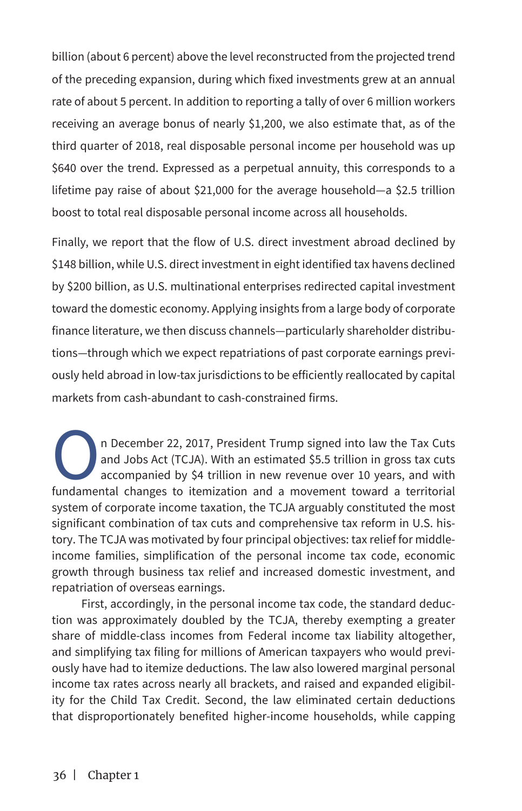billion (about 6 percent) above the level reconstructed from the projected trend of the preceding expansion, during which fixed investments grew at an annual rate of about 5 percent. In addition to reporting a tally of over 6 million workers receiving an average bonus of nearly \$1,200, we also estimate that, as of the third quarter of 2018, real disposable personal income per household was up \$640 over the trend. Expressed as a perpetual annuity, this corresponds to a lifetime pay raise of about \$21,000 for the average household—a \$2.5 trillion boost to total real disposable personal income across all households.

Finally, we report that the flow of U.S. direct investment abroad declined by \$148 billion, while U.S. direct investment in eight identified tax havens declined by \$200 billion, as U.S. multinational enterprises redirected capital investment toward the domestic economy. Applying insights from a large body of corporate finance literature, we then discuss channels—particularly shareholder distributions—through which we expect repatriations of past corporate earnings previously held abroad in low-tax jurisdictions to be efficiently reallocated by capital markets from cash-abundant to cash-constrained firms.

n December 22, 2017, President Trump signed into law the Tax Cuts and Jobs Act (TCJA). With an estimated \$5.5 trillion in gross tax cuts accompanied by \$4 trillion in new revenue over 10 years, and with fundamental changes to itemization and a movement toward a territorial system of corporate income taxation, the TCJA arguably constituted the most significant combination of tax cuts and comprehensive tax reform in U.S. history. The TCJA was motivated by four principal objectives: tax relief for middleincome families, simplification of the personal income tax code, economic growth through business tax relief and increased domestic investment, and repatriation of overseas earnings.

First, accordingly, in the personal income tax code, the standard deduction was approximately doubled by the TCJA, thereby exempting a greater share of middle-class incomes from Federal income tax liability altogether, and simplifying tax filing for millions of American taxpayers who would previously have had to itemize deductions. The law also lowered marginal personal income tax rates across nearly all brackets, and raised and expanded eligibility for the Child Tax Credit. Second, the law eliminated certain deductions that disproportionately benefited higher-income households, while capping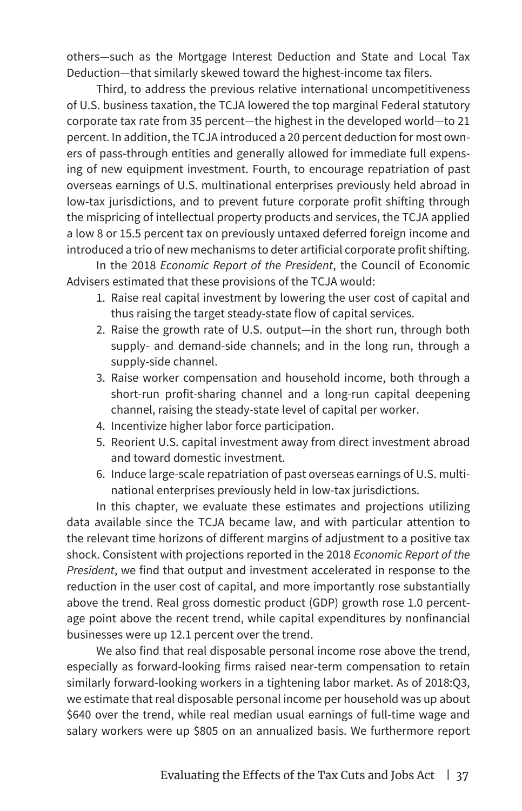others—such as the Mortgage Interest Deduction and State and Local Tax Deduction—that similarly skewed toward the highest-income tax filers.

Third, to address the previous relative international uncompetitiveness of U.S. business taxation, the TCJA lowered the top marginal Federal statutory corporate tax rate from 35 percent—the highest in the developed world—to 21 percent. In addition, the TCJA introduced a 20 percent deduction for most owners of pass-through entities and generally allowed for immediate full expensing of new equipment investment. Fourth, to encourage repatriation of past overseas earnings of U.S. multinational enterprises previously held abroad in low-tax jurisdictions, and to prevent future corporate profit shifting through the mispricing of intellectual property products and services, the TCJA applied a low 8 or 15.5 percent tax on previously untaxed deferred foreign income and introduced a trio of new mechanisms to deter artificial corporate profit shifting.

In the 2018 *Economic Report of the President*, the Council of Economic Advisers estimated that these provisions of the TCJA would:

- 1. Raise real capital investment by lowering the user cost of capital and thus raising the target steady-state flow of capital services.
- 2. Raise the growth rate of U.S. output—in the short run, through both supply- and demand-side channels; and in the long run, through a supply-side channel.
- 3. Raise worker compensation and household income, both through a short-run profit-sharing channel and a long-run capital deepening channel, raising the steady-state level of capital per worker.
- 4. Incentivize higher labor force participation.
- 5. Reorient U.S. capital investment away from direct investment abroad and toward domestic investment.
- 6. Induce large-scale repatriation of past overseas earnings of U.S. multinational enterprises previously held in low-tax jurisdictions.

In this chapter, we evaluate these estimates and projections utilizing data available since the TCJA became law, and with particular attention to the relevant time horizons of different margins of adjustment to a positive tax shock. Consistent with projections reported in the 2018 *Economic Report of the President*, we find that output and investment accelerated in response to the reduction in the user cost of capital, and more importantly rose substantially above the trend. Real gross domestic product (GDP) growth rose 1.0 percentage point above the recent trend, while capital expenditures by nonfinancial businesses were up 12.1 percent over the trend.

We also find that real disposable personal income rose above the trend, especially as forward-looking firms raised near-term compensation to retain similarly forward-looking workers in a tightening labor market. As of 2018:Q3, we estimate that real disposable personal income per household was up about \$640 over the trend, while real median usual earnings of full-time wage and salary workers were up \$805 on an annualized basis. We furthermore report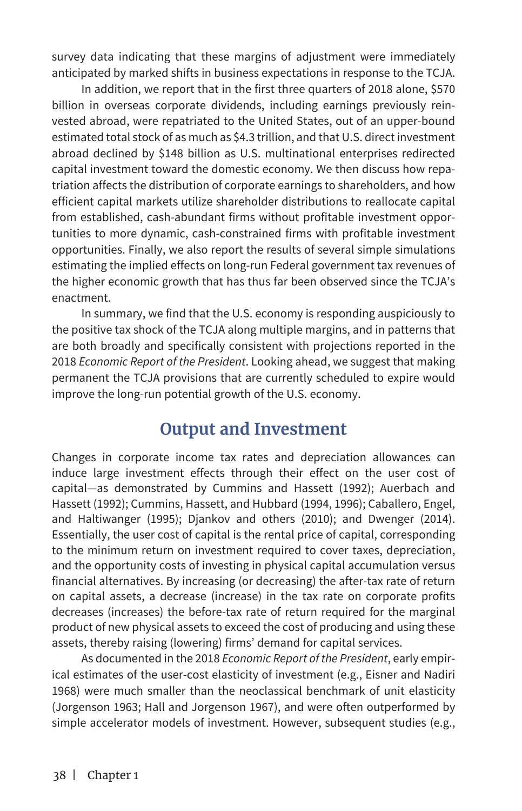survey data indicating that these margins of adjustment were immediately anticipated by marked shifts in business expectations in response to the TCJA.

In addition, we report that in the first three quarters of 2018 alone, \$570 billion in overseas corporate dividends, including earnings previously reinvested abroad, were repatriated to the United States, out of an upper-bound estimated total stock of as much as \$4.3 trillion, and that U.S. direct investment abroad declined by \$148 billion as U.S. multinational enterprises redirected capital investment toward the domestic economy. We then discuss how repatriation affects the distribution of corporate earnings to shareholders, and how efficient capital markets utilize shareholder distributions to reallocate capital from established, cash-abundant firms without profitable investment opportunities to more dynamic, cash-constrained firms with profitable investment opportunities. Finally, we also report the results of several simple simulations estimating the implied effects on long-run Federal government tax revenues of the higher economic growth that has thus far been observed since the TCJA's enactment.

In summary, we find that the U.S. economy is responding auspiciously to the positive tax shock of the TCJA along multiple margins, and in patterns that are both broadly and specifically consistent with projections reported in the 2018 *Economic Report of the President*. Looking ahead, we suggest that making permanent the TCJA provisions that are currently scheduled to expire would improve the long-run potential growth of the U.S. economy.

## **Output and Investment**

Changes in corporate income tax rates and depreciation allowances can induce large investment effects through their effect on the user cost of capital—as demonstrated by Cummins and Hassett (1992); Auerbach and Hassett (1992); Cummins, Hassett, and Hubbard (1994, 1996); Caballero, Engel, and Haltiwanger (1995); Djankov and others (2010); and Dwenger (2014). Essentially, the user cost of capital is the rental price of capital, corresponding to the minimum return on investment required to cover taxes, depreciation, and the opportunity costs of investing in physical capital accumulation versus financial alternatives. By increasing (or decreasing) the after-tax rate of return on capital assets, a decrease (increase) in the tax rate on corporate profits decreases (increases) the before-tax rate of return required for the marginal product of new physical assets to exceed the cost of producing and using these assets, thereby raising (lowering) firms' demand for capital services.

As documented in the 2018 *Economic Report of the President*, early empirical estimates of the user-cost elasticity of investment (e.g., Eisner and Nadiri 1968) were much smaller than the neoclassical benchmark of unit elasticity (Jorgenson 1963; Hall and Jorgenson 1967), and were often outperformed by simple accelerator models of investment. However, subsequent studies (e.g.,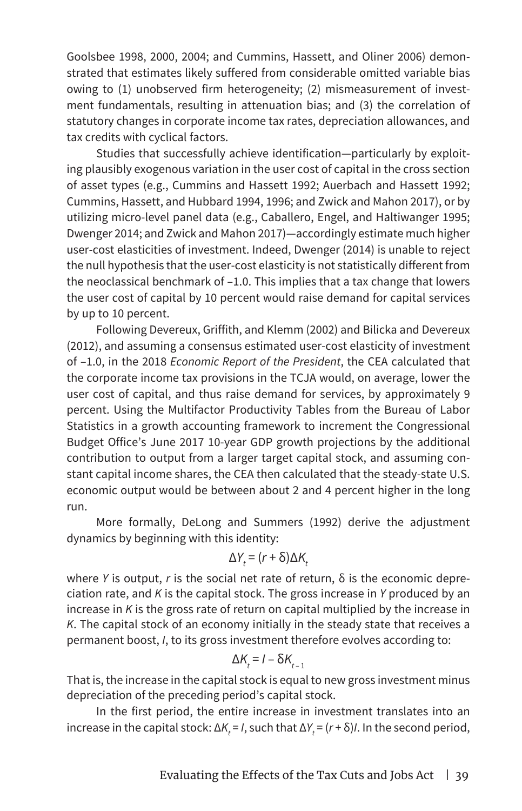Goolsbee 1998, 2000, 2004; and Cummins, Hassett, and Oliner 2006) demonstrated that estimates likely suffered from considerable omitted variable bias owing to (1) unobserved firm heterogeneity; (2) mismeasurement of investment fundamentals, resulting in attenuation bias; and (3) the correlation of statutory changes in corporate income tax rates, depreciation allowances, and tax credits with cyclical factors.

Studies that successfully achieve identification—particularly by exploiting plausibly exogenous variation in the user cost of capital in the cross section of asset types (e.g., Cummins and Hassett 1992; Auerbach and Hassett 1992; Cummins, Hassett, and Hubbard 1994, 1996; and Zwick and Mahon 2017), or by utilizing micro-level panel data (e.g., Caballero, Engel, and Haltiwanger 1995; Dwenger 2014; and Zwick and Mahon 2017)—accordingly estimate much higher user-cost elasticities of investment. Indeed, Dwenger (2014) is unable to reject the null hypothesis that the user-cost elasticity is not statistically different from the neoclassical benchmark of –1.0. This implies that a tax change that lowers the user cost of capital by 10 percent would raise demand for capital services by up to 10 percent.

Following Devereux, Griffith, and Klemm (2002) and Bilicka and Devereux (2012), and assuming a consensus estimated user-cost elasticity of investment of –1.0, in the 2018 *Economic Report of the President*, the CEA calculated that the corporate income tax provisions in the TCJA would, on average, lower the user cost of capital, and thus raise demand for services, by approximately 9 percent. Using the Multifactor Productivity Tables from the Bureau of Labor Statistics in a growth accounting framework to increment the Congressional Budget Office's June 2017 10-year GDP growth projections by the additional contribution to output from a larger target capital stock, and assuming constant capital income shares, the CEA then calculated that the steady-state U.S. economic output would be between about 2 and 4 percent higher in the long run.

More formally, DeLong and Summers (1992) derive the adjustment dynamics by beginning with this identity:

$$
\Delta Y_t = (r + \delta)\Delta K_t
$$

where *Y* is output, *r* is the social net rate of return,  $\delta$  is the economic depreciation rate, and *K* is the capital stock. The gross increase in *Y* produced by an increase in *K* is the gross rate of return on capital multiplied by the increase in *K*. The capital stock of an economy initially in the steady state that receives a permanent boost, *I*, to its gross investment therefore evolves according to:

$$
\Delta K_t = I - \delta K_{t-1}
$$

That is, the increase in the capital stock is equal to new gross investment minus depreciation of the preceding period's capital stock.

In the first period, the entire increase in investment translates into an increase in the capital stock: Δ $K_t$  = *I*, such that Δ $Y_t$  = ( $r$  + δ)*I*. In the second period,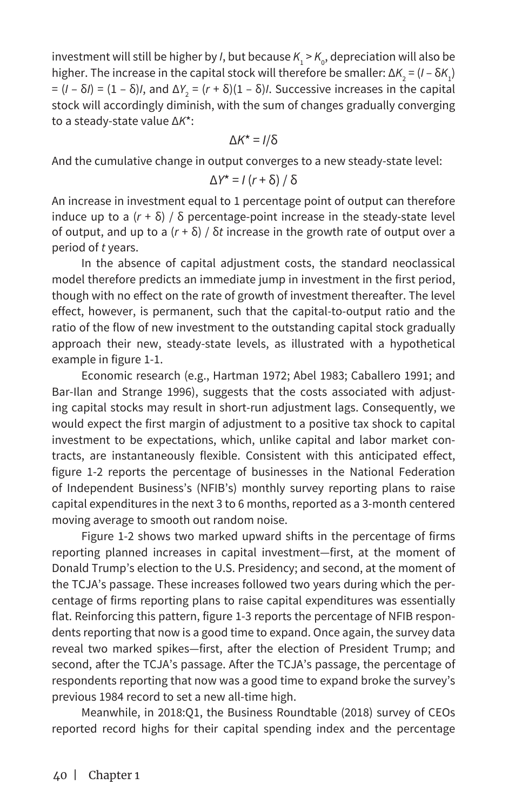investment will still be higher by *I*, but because  $K_{\rm i}$  >  $K_{\rm o}$ , depreciation will also be higher. The increase in the capital stock will therefore be smaller: ΔK<sub>2</sub> = (I – δK<sub>1</sub>)  $=$  (*I* – δ*I*) = (1 – δ)*I*, and Δ*Y*<sub>2</sub> = (*r* + δ)(1 – δ)*I*. Successive increases in the capital stock will accordingly diminish, with the sum of changes gradually converging to a steady-state value Δ*K*\*:

$$
\Delta K^* = I/\delta
$$

And the cumulative change in output converges to a new steady-state level:

$$
\Delta Y^* = I (r + \delta) / \delta
$$

An increase in investment equal to 1 percentage point of output can therefore induce up to a  $(r + \delta) / \delta$  percentage-point increase in the steady-state level of output, and up to a (*r* + δ) / δ*t* increase in the growth rate of output over a period of *t* years.

In the absence of capital adjustment costs, the standard neoclassical model therefore predicts an immediate jump in investment in the first period, though with no effect on the rate of growth of investment thereafter. The level effect, however, is permanent, such that the capital-to-output ratio and the ratio of the flow of new investment to the outstanding capital stock gradually approach their new, steady-state levels, as illustrated with a hypothetical example in figure 1-1.

Economic research (e.g., Hartman 1972; Abel 1983; Caballero 1991; and Bar-Ilan and Strange 1996), suggests that the costs associated with adjusting capital stocks may result in short-run adjustment lags. Consequently, we would expect the first margin of adjustment to a positive tax shock to capital investment to be expectations, which, unlike capital and labor market contracts, are instantaneously flexible. Consistent with this anticipated effect, figure 1-2 reports the percentage of businesses in the National Federation of Independent Business's (NFIB's) monthly survey reporting plans to raise capital expenditures in the next 3 to 6 months, reported as a 3-month centered moving average to smooth out random noise.

Figure 1-2 shows two marked upward shifts in the percentage of firms reporting planned increases in capital investment—first, at the moment of Donald Trump's election to the U.S. Presidency; and second, at the moment of the TCJA's passage. These increases followed two years during which the percentage of firms reporting plans to raise capital expenditures was essentially flat. Reinforcing this pattern, figure 1-3 reports the percentage of NFIB respondents reporting that now is a good time to expand. Once again, the survey data reveal two marked spikes—first, after the election of President Trump; and second, after the TCJA's passage. After the TCJA's passage, the percentage of respondents reporting that now was a good time to expand broke the survey's previous 1984 record to set a new all-time high.

Meanwhile, in 2018:Q1, the Business Roundtable (2018) survey of CEOs reported record highs for their capital spending index and the percentage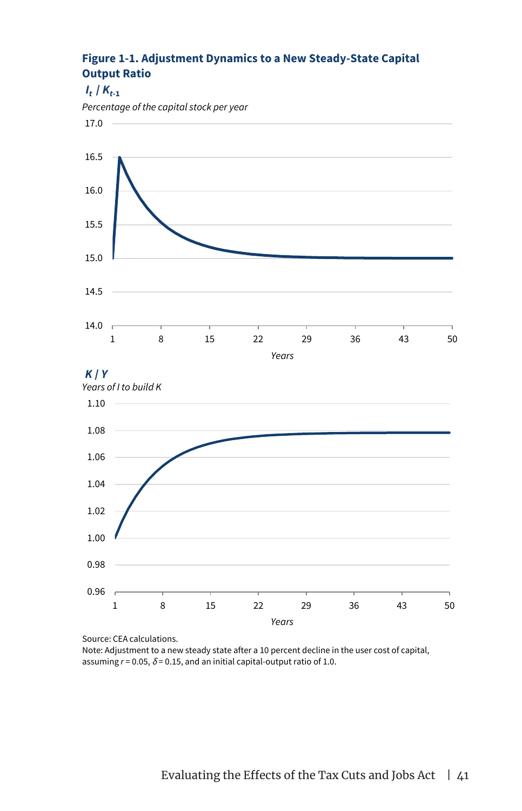### Figure 1-1. Adjustment Dynamics to a New Steady-State Capital **Output Ratio**

 $I_t/K_{t-1}$ 



Source: CEA calculations.

Note: Adjustment to a new steady state after a 10 percent decline in the user cost of capital, assuming  $r = 0.05$ ,  $\delta = 0.15$ , and an initial capital-output ratio of 1.0.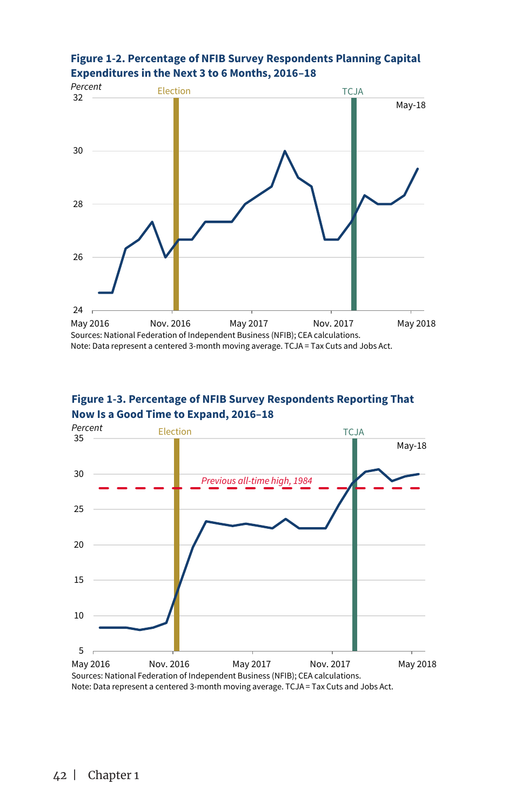

### Figure 1-2. Percentage of NFIB Survey Respondents Planning Capital Expenditures in the Next 3 to 6 Months, 2016-18

Note: Data represent a centered 3-month moving average. TCJA = Tax Cuts and Jobs Act.

### Figure 1-3. Percentage of NFIB Survey Respondents Reporting That Now Is a Good Time to Expand, 2016-18

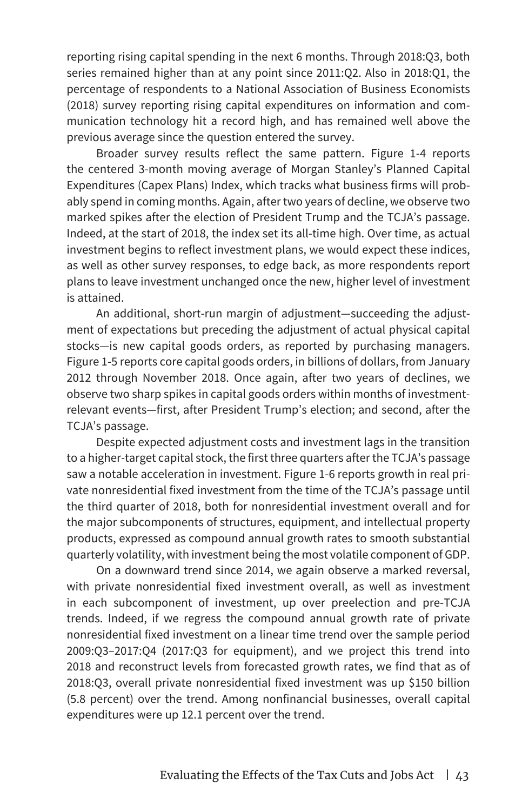reporting rising capital spending in the next 6 months. Through 2018:Q3, both series remained higher than at any point since 2011:Q2. Also in 2018:Q1, the percentage of respondents to a National Association of Business Economists (2018) survey reporting rising capital expenditures on information and communication technology hit a record high, and has remained well above the previous average since the question entered the survey.

Broader survey results reflect the same pattern. Figure 1-4 reports the centered 3-month moving average of Morgan Stanley's Planned Capital Expenditures (Capex Plans) Index, which tracks what business firms will probably spend in coming months. Again, after two years of decline, we observe two marked spikes after the election of President Trump and the TCJA's passage. Indeed, at the start of 2018, the index set its all-time high. Over time, as actual investment begins to reflect investment plans, we would expect these indices, as well as other survey responses, to edge back, as more respondents report plans to leave investment unchanged once the new, higher level of investment is attained.

An additional, short-run margin of adjustment—succeeding the adjustment of expectations but preceding the adjustment of actual physical capital stocks—is new capital goods orders, as reported by purchasing managers. Figure 1-5 reports core capital goods orders, in billions of dollars, from January 2012 through November 2018. Once again, after two years of declines, we observe two sharp spikes in capital goods orders within months of investmentrelevant events—first, after President Trump's election; and second, after the TCJA's passage.

Despite expected adjustment costs and investment lags in the transition to a higher-target capital stock, the first three quarters after the TCJA's passage saw a notable acceleration in investment. Figure 1-6 reports growth in real private nonresidential fixed investment from the time of the TCJA's passage until the third quarter of 2018, both for nonresidential investment overall and for the major subcomponents of structures, equipment, and intellectual property products, expressed as compound annual growth rates to smooth substantial quarterly volatility, with investment being the most volatile component of GDP.

On a downward trend since 2014, we again observe a marked reversal, with private nonresidential fixed investment overall, as well as investment in each subcomponent of investment, up over preelection and pre-TCJA trends. Indeed, if we regress the compound annual growth rate of private nonresidential fixed investment on a linear time trend over the sample period 2009:Q3–2017:Q4 (2017:Q3 for equipment), and we project this trend into 2018 and reconstruct levels from forecasted growth rates, we find that as of 2018:Q3, overall private nonresidential fixed investment was up \$150 billion (5.8 percent) over the trend. Among nonfinancial businesses, overall capital expenditures were up 12.1 percent over the trend.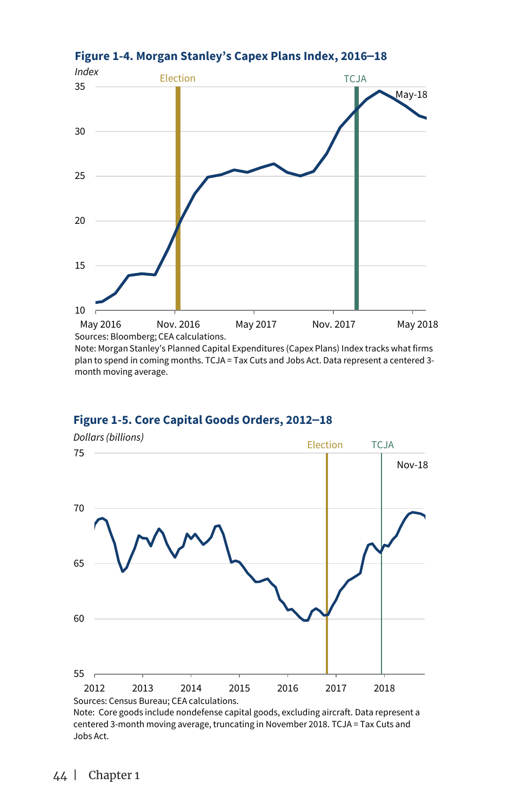

**Figure 1-4. Morgan Stanley's Capex Plans Index, 2016–18**

Sources: Bloomberg; CEA calculations.

Note: Morgan Stanley's Planned Capital Expenditures (Capex Plans) Index tracks what firms plan to spend in coming months. TCJA = Tax Cuts and Jobs Act. Data represent a centered 3 month moving average.



### ${\bf Figure 1-5.}$  Core Capital Goods Orders, 2012-18

Note: Core goods include nondefense capital goods, excluding aircraft. Data represent a centered 3-month moving average, truncating in November 2018. TCJA = Tax Cuts and Jobs Act.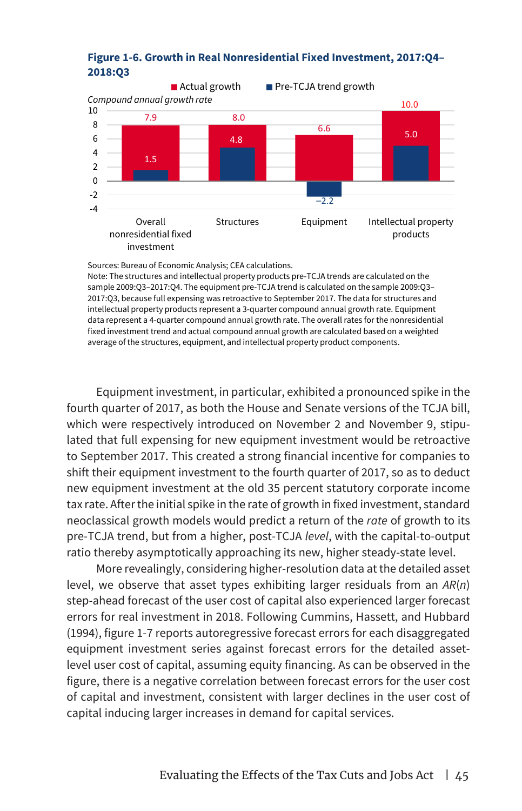

### Figure 1-6. Growth in Real Nonresidential Fixed Investment, 2017:04-2018:03

Sources: Bureau of Economic Analysis; CEA calculations. Note: The structures and intellectual property products pre-TCJA trends are calculated on the sample 2009:Q3-2017:Q4. The equipment pre-TCJA trend is calculated on the sample 2009:Q3-2017:Q3, because full expensing was retroactive to September 2017. The data for structures and intellectual property products represent a 3-quarter compound annual growth rate. Equipment data represent a 4-quarter compound annual growth rate. The overall rates for the nonresidential fixed investment trend and actual compound annual growth are calculated based on a weighted average of the structures, equipment, and intellectual property product components.

Equipment investment, in particular, exhibited a pronounced spike in the fourth quarter of 2017, as both the House and Senate versions of the TCJA bill, which were respectively introduced on November 2 and November 9, stipulated that full expensing for new equipment investment would be retroactive to September 2017. This created a strong financial incentive for companies to shift their equipment investment to the fourth quarter of 2017, so as to deduct new equipment investment at the old 35 percent statutory corporate income tax rate. After the initial spike in the rate of growth in fixed investment, standard neoclassical growth models would predict a return of the rate of growth to its pre-TCJA trend, but from a higher, post-TCJA level, with the capital-to-output ratio thereby asymptotically approaching its new, higher steady-state level.

More revealingly, considering higher-resolution data at the detailed asset level, we observe that asset types exhibiting larger residuals from an  $AR(n)$ step-ahead forecast of the user cost of capital also experienced larger forecast errors for real investment in 2018. Following Cummins, Hassett, and Hubbard (1994), figure 1-7 reports autoregressive forecast errors for each disaggregated equipment investment series against forecast errors for the detailed assetlevel user cost of capital, assuming equity financing. As can be observed in the figure, there is a negative correlation between forecast errors for the user cost of capital and investment, consistent with larger declines in the user cost of capital inducing larger increases in demand for capital services.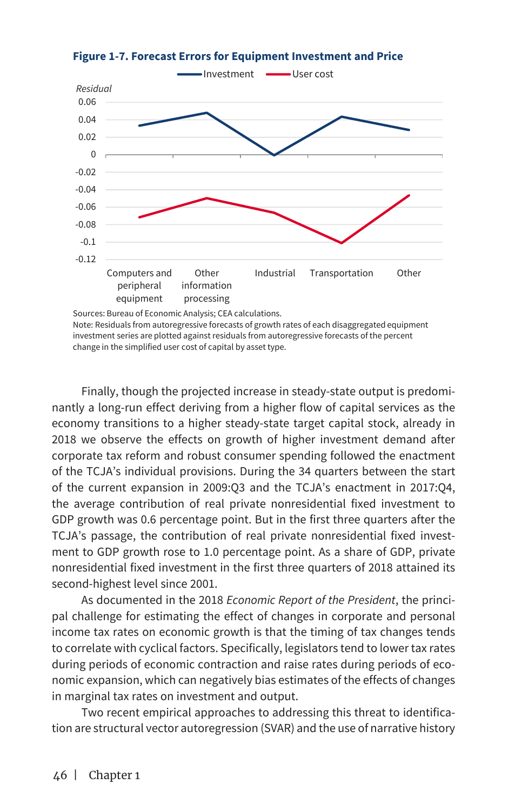

Figure 1-7. Forecast Errors for Equipment Investment and Price

Sources: Bureau of Economic Analysis; CEA calculations. Note: Residuals from autoregressive forecasts of growth rates of each disaggregated equipment investment series are plotted against residuals from autoregressive forecasts of the percent change in the simplified user cost of capital by asset type.

Finally, though the projected increase in steady-state output is predominantly a long-run effect deriving from a higher flow of capital services as the economy transitions to a higher steady-state target capital stock, already in 2018 we observe the effects on growth of higher investment demand after corporate tax reform and robust consumer spending followed the enactment of the TCJA's individual provisions. During the 34 quarters between the start of the current expansion in 2009:Q3 and the TCJA's enactment in 2017:Q4, the average contribution of real private nonresidential fixed investment to GDP growth was 0.6 percentage point. But in the first three quarters after the TCJA's passage, the contribution of real private nonresidential fixed investment to GDP growth rose to 1.0 percentage point. As a share of GDP, private nonresidential fixed investment in the first three quarters of 2018 attained its second-highest level since 2001.

As documented in the 2018 Economic Report of the President, the principal challenge for estimating the effect of changes in corporate and personal income tax rates on economic growth is that the timing of tax changes tends to correlate with cyclical factors. Specifically, legislators tend to lower tax rates during periods of economic contraction and raise rates during periods of economic expansion, which can negatively bias estimates of the effects of changes in marginal tax rates on investment and output.

Two recent empirical approaches to addressing this threat to identification are structural vector autoregression (SVAR) and the use of narrative history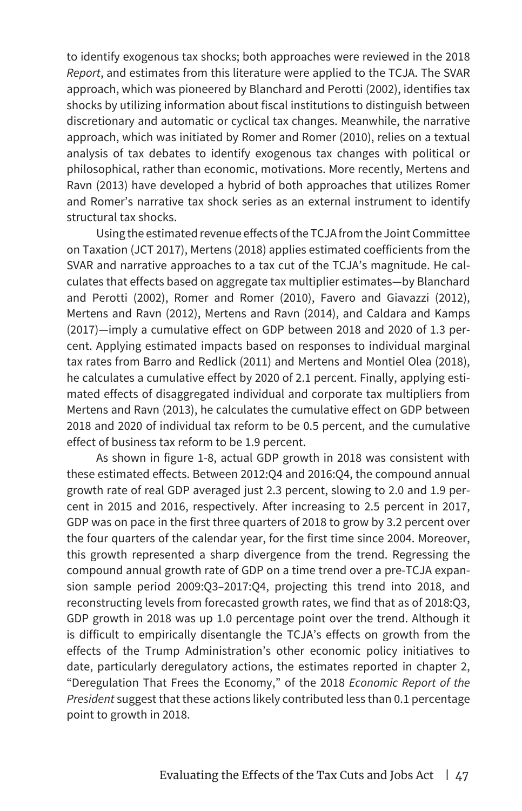to identify exogenous tax shocks; both approaches were reviewed in the 2018 *Report*, and estimates from this literature were applied to the TCJA. The SVAR approach, which was pioneered by Blanchard and Perotti (2002), identifies tax shocks by utilizing information about fiscal institutions to distinguish between discretionary and automatic or cyclical tax changes. Meanwhile, the narrative approach, which was initiated by Romer and Romer (2010), relies on a textual analysis of tax debates to identify exogenous tax changes with political or philosophical, rather than economic, motivations. More recently, Mertens and Ravn (2013) have developed a hybrid of both approaches that utilizes Romer and Romer's narrative tax shock series as an external instrument to identify structural tax shocks.

Using the estimated revenue effects of the TCJA from the Joint Committee on Taxation (JCT 2017), Mertens (2018) applies estimated coefficients from the SVAR and narrative approaches to a tax cut of the TCJA's magnitude. He calculates that effects based on aggregate tax multiplier estimates—by Blanchard and Perotti (2002), Romer and Romer (2010), Favero and Giavazzi (2012), Mertens and Ravn (2012), Mertens and Ravn (2014), and Caldara and Kamps (2017)—imply a cumulative effect on GDP between 2018 and 2020 of 1.3 percent. Applying estimated impacts based on responses to individual marginal tax rates from Barro and Redlick (2011) and Mertens and Montiel Olea (2018), he calculates a cumulative effect by 2020 of 2.1 percent. Finally, applying estimated effects of disaggregated individual and corporate tax multipliers from Mertens and Ravn (2013), he calculates the cumulative effect on GDP between 2018 and 2020 of individual tax reform to be 0.5 percent, and the cumulative effect of business tax reform to be 1.9 percent.

As shown in figure 1-8, actual GDP growth in 2018 was consistent with these estimated effects. Between 2012:Q4 and 2016:Q4, the compound annual growth rate of real GDP averaged just 2.3 percent, slowing to 2.0 and 1.9 percent in 2015 and 2016, respectively. After increasing to 2.5 percent in 2017, GDP was on pace in the first three quarters of 2018 to grow by 3.2 percent over the four quarters of the calendar year, for the first time since 2004. Moreover, this growth represented a sharp divergence from the trend. Regressing the compound annual growth rate of GDP on a time trend over a pre-TCJA expansion sample period 2009:Q3–2017:Q4, projecting this trend into 2018, and reconstructing levels from forecasted growth rates, we find that as of 2018:Q3, GDP growth in 2018 was up 1.0 percentage point over the trend. Although it is difficult to empirically disentangle the TCJA's effects on growth from the effects of the Trump Administration's other economic policy initiatives to date, particularly deregulatory actions, the estimates reported in chapter 2, "Deregulation That Frees the Economy," of the 2018 *Economic Report of the President* suggest that these actions likely contributed less than 0.1 percentage point to growth in 2018.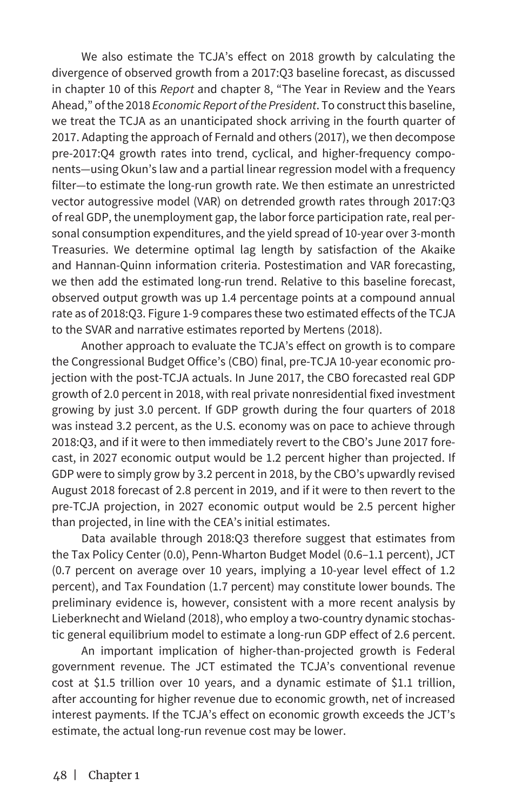We also estimate the TCJA's effect on 2018 growth by calculating the divergence of observed growth from a 2017:Q3 baseline forecast, as discussed in chapter 10 of this *Report* and chapter 8, "The Year in Review and the Years Ahead," of the 2018 *Economic Report of the President*. To construct this baseline, we treat the TCJA as an unanticipated shock arriving in the fourth quarter of 2017. Adapting the approach of Fernald and others (2017), we then decompose pre-2017:Q4 growth rates into trend, cyclical, and higher-frequency components—using Okun's law and a partial linear regression model with a frequency filter—to estimate the long-run growth rate. We then estimate an unrestricted vector autogressive model (VAR) on detrended growth rates through 2017:Q3 of real GDP, the unemployment gap, the labor force participation rate, real personal consumption expenditures, and the yield spread of 10-year over 3-month Treasuries. We determine optimal lag length by satisfaction of the Akaike and Hannan-Quinn information criteria. Postestimation and VAR forecasting, we then add the estimated long-run trend. Relative to this baseline forecast, observed output growth was up 1.4 percentage points at a compound annual rate as of 2018:Q3. Figure 1-9 compares these two estimated effects of the TCJA to the SVAR and narrative estimates reported by Mertens (2018).

Another approach to evaluate the TCJA's effect on growth is to compare the Congressional Budget Office's (CBO) final, pre-TCJA 10-year economic projection with the post-TCJA actuals. In June 2017, the CBO forecasted real GDP growth of 2.0 percent in 2018, with real private nonresidential fixed investment growing by just 3.0 percent. If GDP growth during the four quarters of 2018 was instead 3.2 percent, as the U.S. economy was on pace to achieve through 2018:Q3, and if it were to then immediately revert to the CBO's June 2017 forecast, in 2027 economic output would be 1.2 percent higher than projected. If GDP were to simply grow by 3.2 percent in 2018, by the CBO's upwardly revised August 2018 forecast of 2.8 percent in 2019, and if it were to then revert to the pre-TCJA projection, in 2027 economic output would be 2.5 percent higher than projected, in line with the CEA's initial estimates.

Data available through 2018:Q3 therefore suggest that estimates from the Tax Policy Center (0.0), Penn-Wharton Budget Model (0.6–1.1 percent), JCT (0.7 percent on average over 10 years, implying a 10-year level effect of 1.2 percent), and Tax Foundation (1.7 percent) may constitute lower bounds. The preliminary evidence is, however, consistent with a more recent analysis by Lieberknecht and Wieland (2018), who employ a two-country dynamic stochastic general equilibrium model to estimate a long-run GDP effect of 2.6 percent.

An important implication of higher-than-projected growth is Federal government revenue. The JCT estimated the TCJA's conventional revenue cost at \$1.5 trillion over 10 years, and a dynamic estimate of \$1.1 trillion, after accounting for higher revenue due to economic growth, net of increased interest payments. If the TCJA's effect on economic growth exceeds the JCT's estimate, the actual long-run revenue cost may be lower.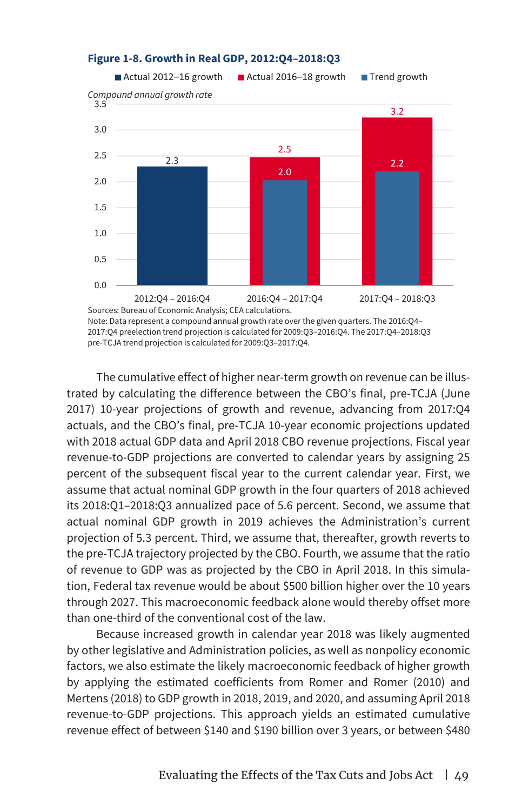### **Figure 1-8. Growth in Real GDP, 2012:04-2018:03**



pre-TCJA trend projection is calculated for 2009:Q3-2017:Q4.

The cumulative effect of higher near-term growth on revenue can be illustrated by calculating the difference between the CBO's final, pre-TCJA (June 2017) 10-year projections of growth and revenue, advancing from 2017:Q4 actuals, and the CBO's final, pre-TCJA 10-year economic projections updated with 2018 actual GDP data and April 2018 CBO revenue projections. Fiscal year revenue-to-GDP projections are converted to calendar years by assigning 25 percent of the subsequent fiscal year to the current calendar year. First, we assume that actual nominal GDP growth in the four quarters of 2018 achieved its 2018:Q1–2018:Q3 annualized pace of 5.6 percent. Second, we assume that actual nominal GDP growth in 2019 achieves the Administration's current projection of 5.3 percent. Third, we assume that, thereafter, growth reverts to the pre-TCJA trajectory projected by the CBO. Fourth, we assume that the ratio of revenue to GDP was as projected by the CBO in April 2018. In this simulation, Federal tax revenue would be about \$500 billion higher over the 10 years through 2027. This macroeconomic feedback alone would thereby offset more than one-third of the conventional cost of the law.

Because increased growth in calendar year 2018 was likely augmented by other legislative and Administration policies, as well as nonpolicy economic factors, we also estimate the likely macroeconomic feedback of higher growth by applying the estimated coefficients from Romer and Romer (2010) and Mertens (2018) to GDP growth in 2018, 2019, and 2020, and assuming April 2018 revenue-to-GDP projections. This approach yields an estimated cumulative revenue effect of between \$140 and \$190 billion over 3 years, or between \$480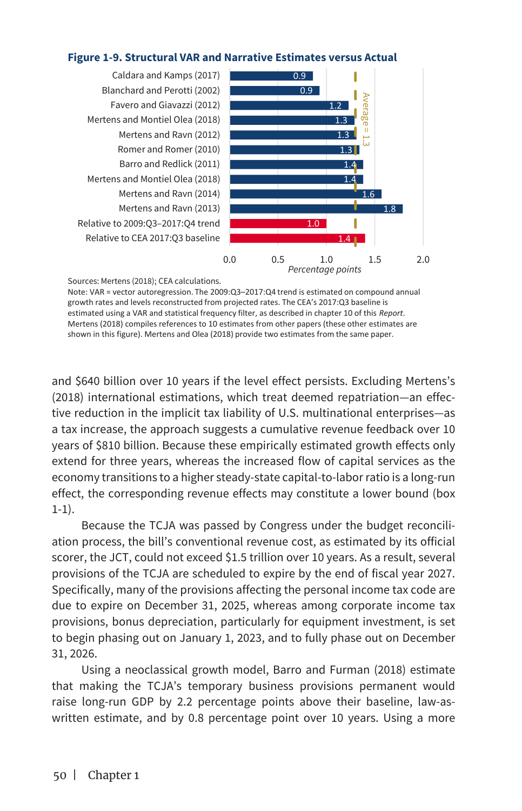### Figure 1-9. Structural VAR and Narrative Estimates versus Actual



Sources: Mertens (2018); CEA calculations.

Note: VAR = vector autoregression. The 2009:Q3-2017:Q4 trend is estimated on compound annual growth rates and levels reconstructed from projected rates. The CEA's 2017:Q3 baseline is estimated using a VAR and statistical frequency filter, as described in chapter 10 of this Report. Mertens (2018) compiles references to 10 estimates from other papers (these other estimates are shown in this figure). Mertens and Olea (2018) provide two estimates from the same paper.

and \$640 billion over 10 years if the level effect persists. Excluding Mertens's (2018) international estimations, which treat deemed repatriation-an effective reduction in the implicit tax liability of U.S. multinational enterprises-as a tax increase, the approach suggests a cumulative revenue feedback over 10 years of \$810 billion. Because these empirically estimated growth effects only extend for three years, whereas the increased flow of capital services as the economy transitions to a higher steady-state capital-to-labor ratio is a long-run effect, the corresponding revenue effects may constitute a lower bound (box  $1-1$ ).

Because the TCJA was passed by Congress under the budget reconciliation process, the bill's conventional revenue cost, as estimated by its official scorer, the JCT, could not exceed \$1.5 trillion over 10 years. As a result, several provisions of the TCJA are scheduled to expire by the end of fiscal year 2027. Specifically, many of the provisions affecting the personal income tax code are due to expire on December 31, 2025, whereas among corporate income tax provisions, bonus depreciation, particularly for equipment investment, is set to begin phasing out on January 1, 2023, and to fully phase out on December 31, 2026.

Using a neoclassical growth model, Barro and Furman (2018) estimate that making the TCJA's temporary business provisions permanent would raise long-run GDP by 2.2 percentage points above their baseline, law-aswritten estimate, and by 0.8 percentage point over 10 years. Using a more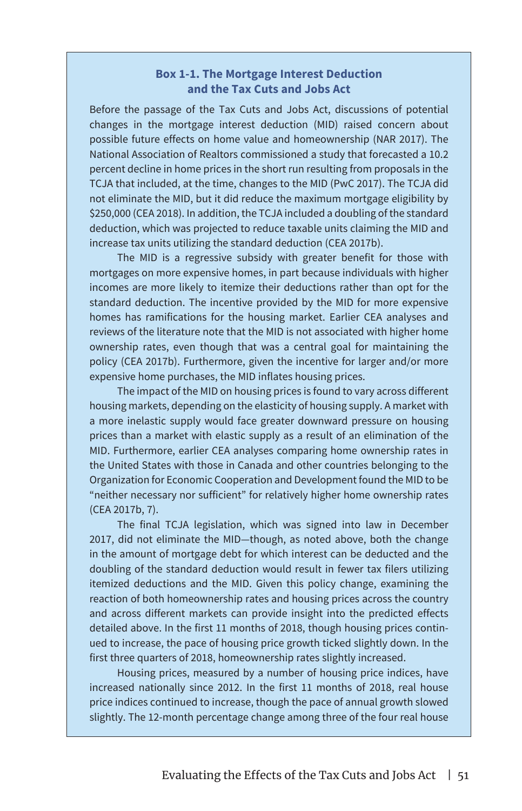### **Box 1-1. The Mortgage Interest Deduction and the Tax Cuts and Jobs Act**

Before the passage of the Tax Cuts and Jobs Act, discussions of potential changes in the mortgage interest deduction (MID) raised concern about possible future effects on home value and homeownership (NAR 2017). The National Association of Realtors commissioned a study that forecasted a 10.2 percent decline in home prices in the short run resulting from proposals in the TCJA that included, at the time, changes to the MID (PwC 2017). The TCJA did not eliminate the MID, but it did reduce the maximum mortgage eligibility by \$250,000 (CEA 2018). In addition, the TCJA included a doubling of the standard deduction, which was projected to reduce taxable units claiming the MID and increase tax units utilizing the standard deduction (CEA 2017b).

The MID is a regressive subsidy with greater benefit for those with mortgages on more expensive homes, in part because individuals with higher incomes are more likely to itemize their deductions rather than opt for the standard deduction. The incentive provided by the MID for more expensive homes has ramifications for the housing market. Earlier CEA analyses and reviews of the literature note that the MID is not associated with higher home ownership rates, even though that was a central goal for maintaining the policy (CEA 2017b). Furthermore, given the incentive for larger and/or more expensive home purchases, the MID inflates housing prices.

The impact of the MID on housing prices is found to vary across different housing markets, depending on the elasticity of housing supply. A market with a more inelastic supply would face greater downward pressure on housing prices than a market with elastic supply as a result of an elimination of the MID. Furthermore, earlier CEA analyses comparing home ownership rates in the United States with those in Canada and other countries belonging to the Organization for Economic Cooperation and Development found the MID to be "neither necessary nor sufficient" for relatively higher home ownership rates (CEA 2017b, 7).

The final TCJA legislation, which was signed into law in December 2017, did not eliminate the MID—though, as noted above, both the change in the amount of mortgage debt for which interest can be deducted and the doubling of the standard deduction would result in fewer tax filers utilizing itemized deductions and the MID. Given this policy change, examining the reaction of both homeownership rates and housing prices across the country and across different markets can provide insight into the predicted effects detailed above. In the first 11 months of 2018, though housing prices continued to increase, the pace of housing price growth ticked slightly down. In the first three quarters of 2018, homeownership rates slightly increased.

Housing prices, measured by a number of housing price indices, have increased nationally since 2012. In the first 11 months of 2018, real house price indices continued to increase, though the pace of annual growth slowed slightly. The 12-month percentage change among three of the four real house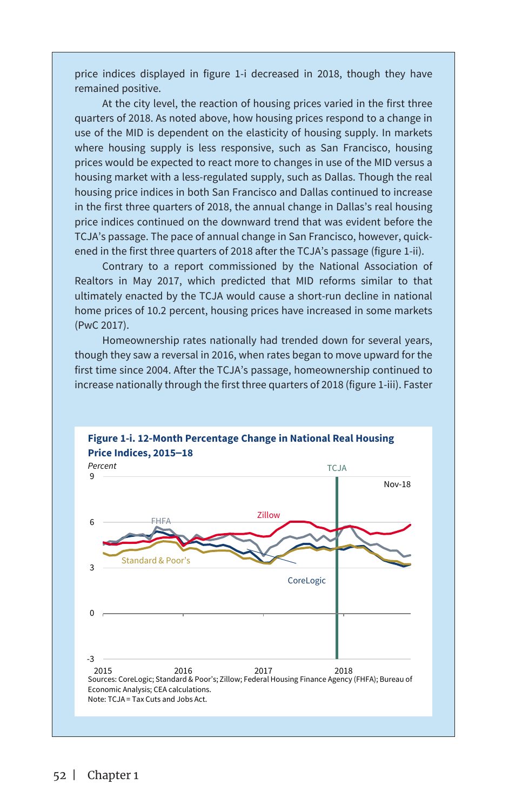price indices displayed in figure 1-i decreased in 2018, though they have remained positive.

At the city level, the reaction of housing prices varied in the first three quarters of 2018. As noted above, how housing prices respond to a change in use of the MID is dependent on the elasticity of housing supply. In markets where housing supply is less responsive, such as San Francisco, housing prices would be expected to react more to changes in use of the MID versus a housing market with a less-regulated supply, such as Dallas. Though the real housing price indices in both San Francisco and Dallas continued to increase in the first three quarters of 2018, the annual change in Dallas's real housing price indices continued on the downward trend that was evident before the TCJA's passage. The pace of annual change in San Francisco, however, quickened in the first three quarters of 2018 after the TCJA's passage (figure 1-ii).

Contrary to a report commissioned by the National Association of Realtors in May 2017, which predicted that MID reforms similar to that ultimately enacted by the TCJA would cause a short-run decline in national home prices of 10.2 percent, housing prices have increased in some markets (PwC 2017).

Homeownership rates nationally had trended down for several years, though they saw a reversal in 2016, when rates began to move upward for the first time since 2004. After the TCJA's passage, homeownership continued to increase nationally through the first three quarters of 2018 (figure 1-iii). Faster

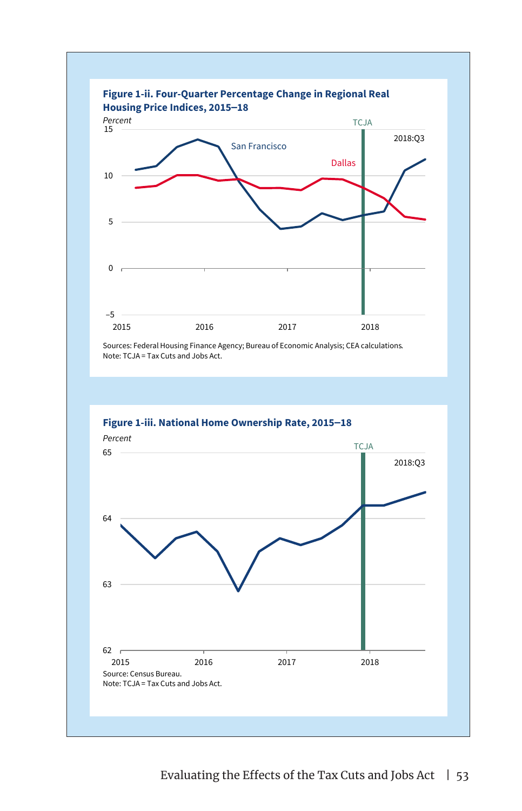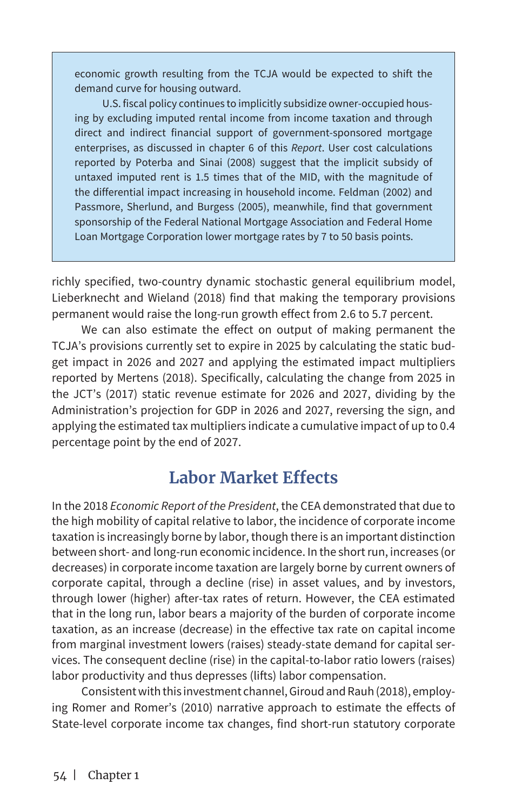economic growth resulting from the TCJA would be expected to shift the demand curve for housing outward.

U.S. fiscal policy continues to implicitly subsidize owner-occupied housing by excluding imputed rental income from income taxation and through direct and indirect financial support of government-sponsored mortgage enterprises, as discussed in chapter 6 of this *Report*. User cost calculations reported by Poterba and Sinai (2008) suggest that the implicit subsidy of untaxed imputed rent is 1.5 times that of the MID, with the magnitude of the differential impact increasing in household income. Feldman (2002) and Passmore, Sherlund, and Burgess (2005), meanwhile, find that government sponsorship of the Federal National Mortgage Association and Federal Home Loan Mortgage Corporation lower mortgage rates by 7 to 50 basis points.

richly specified, two-country dynamic stochastic general equilibrium model, Lieberknecht and Wieland (2018) find that making the temporary provisions permanent would raise the long-run growth effect from 2.6 to 5.7 percent.

We can also estimate the effect on output of making permanent the TCJA's provisions currently set to expire in 2025 by calculating the static budget impact in 2026 and 2027 and applying the estimated impact multipliers reported by Mertens (2018). Specifically, calculating the change from 2025 in the JCT's (2017) static revenue estimate for 2026 and 2027, dividing by the Administration's projection for GDP in 2026 and 2027, reversing the sign, and applying the estimated tax multipliers indicate a cumulative impact of up to 0.4 percentage point by the end of 2027.

# **Labor Market Effects**

In the 2018 *Economic Report of the President*, the CEA demonstrated that due to the high mobility of capital relative to labor, the incidence of corporate income taxation is increasingly borne by labor, though there is an important distinction between short- and long-run economic incidence. In the short run, increases (or decreases) in corporate income taxation are largely borne by current owners of corporate capital, through a decline (rise) in asset values, and by investors, through lower (higher) after-tax rates of return. However, the CEA estimated that in the long run, labor bears a majority of the burden of corporate income taxation, as an increase (decrease) in the effective tax rate on capital income from marginal investment lowers (raises) steady-state demand for capital services. The consequent decline (rise) in the capital-to-labor ratio lowers (raises) labor productivity and thus depresses (lifts) labor compensation.

Consistent with this investment channel, Giroud and Rauh (2018), employing Romer and Romer's (2010) narrative approach to estimate the effects of State-level corporate income tax changes, find short-run statutory corporate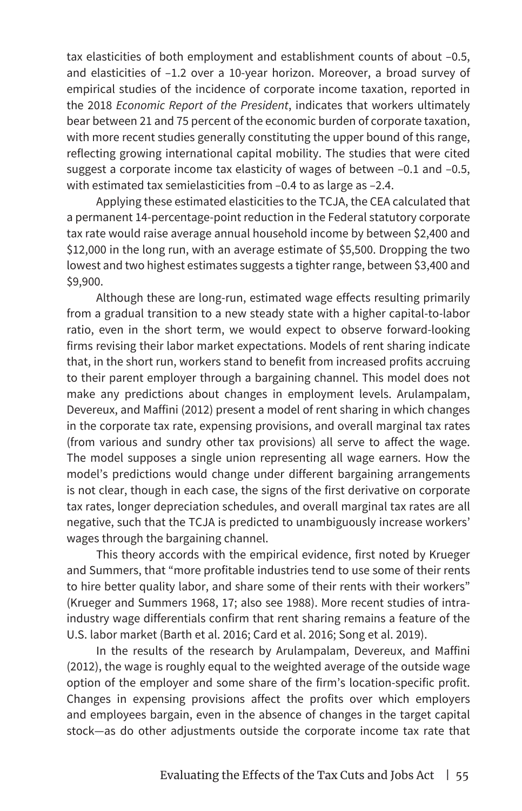tax elasticities of both employment and establishment counts of about –0.5, and elasticities of –1.2 over a 10-year horizon. Moreover, a broad survey of empirical studies of the incidence of corporate income taxation, reported in the 2018 *Economic Report of the President*, indicates that workers ultimately bear between 21 and 75 percent of the economic burden of corporate taxation, with more recent studies generally constituting the upper bound of this range, reflecting growing international capital mobility. The studies that were cited suggest a corporate income tax elasticity of wages of between –0.1 and –0.5, with estimated tax semielasticities from –0.4 to as large as –2.4.

Applying these estimated elasticities to the TCJA, the CEA calculated that a permanent 14-percentage-point reduction in the Federal statutory corporate tax rate would raise average annual household income by between \$2,400 and \$12,000 in the long run, with an average estimate of \$5,500. Dropping the two lowest and two highest estimates suggests a tighter range, between \$3,400 and \$9,900.

Although these are long-run, estimated wage effects resulting primarily from a gradual transition to a new steady state with a higher capital-to-labor ratio, even in the short term, we would expect to observe forward-looking firms revising their labor market expectations. Models of rent sharing indicate that, in the short run, workers stand to benefit from increased profits accruing to their parent employer through a bargaining channel. This model does not make any predictions about changes in employment levels. Arulampalam, Devereux, and Maffini (2012) present a model of rent sharing in which changes in the corporate tax rate, expensing provisions, and overall marginal tax rates (from various and sundry other tax provisions) all serve to affect the wage. The model supposes a single union representing all wage earners. How the model's predictions would change under different bargaining arrangements is not clear, though in each case, the signs of the first derivative on corporate tax rates, longer depreciation schedules, and overall marginal tax rates are all negative, such that the TCJA is predicted to unambiguously increase workers' wages through the bargaining channel.

This theory accords with the empirical evidence, first noted by Krueger and Summers, that "more profitable industries tend to use some of their rents to hire better quality labor, and share some of their rents with their workers" (Krueger and Summers 1968, 17; also see 1988). More recent studies of intraindustry wage differentials confirm that rent sharing remains a feature of the U.S. labor market (Barth et al. 2016; Card et al. 2016; Song et al. 2019).

In the results of the research by Arulampalam, Devereux, and Maffini (2012), the wage is roughly equal to the weighted average of the outside wage option of the employer and some share of the firm's location-specific profit. Changes in expensing provisions affect the profits over which employers and employees bargain, even in the absence of changes in the target capital stock—as do other adjustments outside the corporate income tax rate that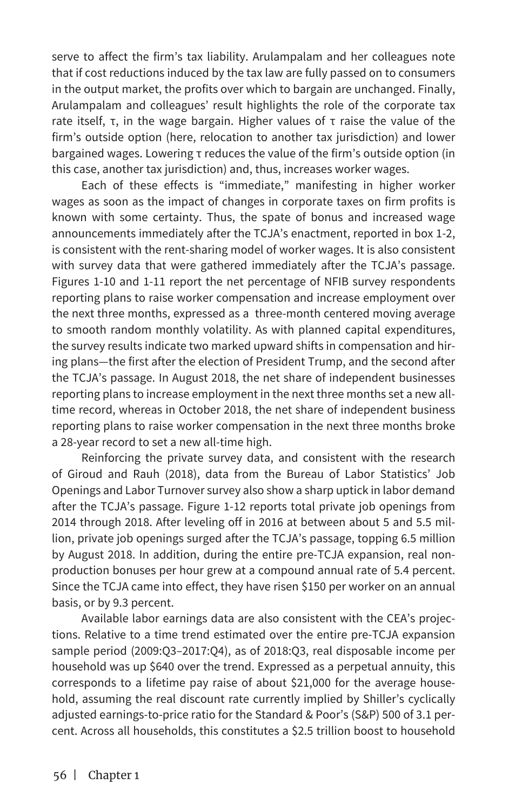serve to affect the firm's tax liability. Arulampalam and her colleagues note that if cost reductions induced by the tax law are fully passed on to consumers in the output market, the profits over which to bargain are unchanged. Finally, Arulampalam and colleagues' result highlights the role of the corporate tax rate itself,  $\tau$ , in the wage bargain. Higher values of  $\tau$  raise the value of the firm's outside option (here, relocation to another tax jurisdiction) and lower bargained wages. Lowering τ reduces the value of the firm's outside option (in this case, another tax jurisdiction) and, thus, increases worker wages.

Each of these effects is "immediate," manifesting in higher worker wages as soon as the impact of changes in corporate taxes on firm profits is known with some certainty. Thus, the spate of bonus and increased wage announcements immediately after the TCJA's enactment, reported in box 1-2, is consistent with the rent-sharing model of worker wages. It is also consistent with survey data that were gathered immediately after the TCJA's passage. Figures 1-10 and 1-11 report the net percentage of NFIB survey respondents reporting plans to raise worker compensation and increase employment over the next three months, expressed as a three-month centered moving average to smooth random monthly volatility. As with planned capital expenditures, the survey results indicate two marked upward shifts in compensation and hiring plans—the first after the election of President Trump, and the second after the TCJA's passage. In August 2018, the net share of independent businesses reporting plans to increase employment in the next three months set a new alltime record, whereas in October 2018, the net share of independent business reporting plans to raise worker compensation in the next three months broke a 28-year record to set a new all-time high.

Reinforcing the private survey data, and consistent with the research of Giroud and Rauh (2018), data from the Bureau of Labor Statistics' Job Openings and Labor Turnover survey also show a sharp uptick in labor demand after the TCJA's passage. Figure 1-12 reports total private job openings from 2014 through 2018. After leveling off in 2016 at between about 5 and 5.5 million, private job openings surged after the TCJA's passage, topping 6.5 million by August 2018. In addition, during the entire pre-TCJA expansion, real nonproduction bonuses per hour grew at a compound annual rate of 5.4 percent. Since the TCJA came into effect, they have risen \$150 per worker on an annual basis, or by 9.3 percent.

Available labor earnings data are also consistent with the CEA's projections. Relative to a time trend estimated over the entire pre-TCJA expansion sample period (2009:Q3–2017:Q4), as of 2018:Q3, real disposable income per household was up \$640 over the trend. Expressed as a perpetual annuity, this corresponds to a lifetime pay raise of about \$21,000 for the average household, assuming the real discount rate currently implied by Shiller's cyclically adjusted earnings-to-price ratio for the Standard & Poor's (S&P) 500 of 3.1 percent. Across all households, this constitutes a \$2.5 trillion boost to household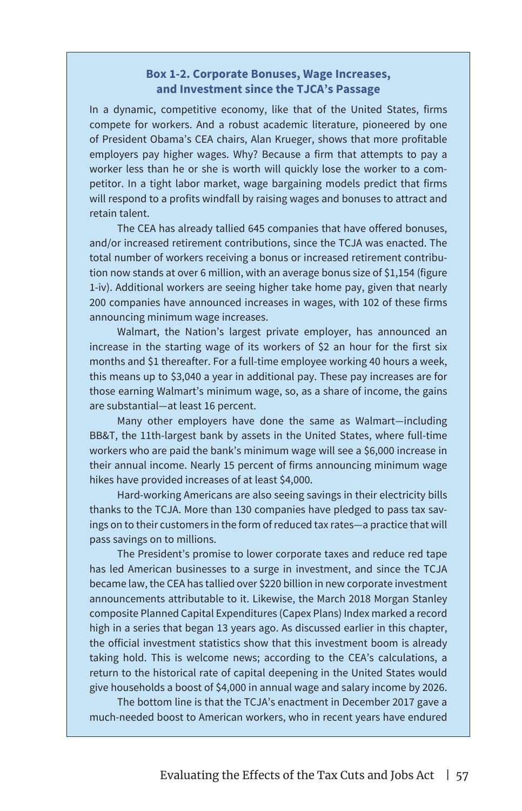### **Box 1-2. Corporate Bonuses, Wage Increases, and Investment since the TJCA's Passage**

In a dynamic, competitive economy, like that of the United States, firms compete for workers. And a robust academic literature, pioneered by one of President Obama's CEA chairs, Alan Krueger, shows that more profitable employers pay higher wages. Why? Because a firm that attempts to pay a worker less than he or she is worth will quickly lose the worker to a competitor. In a tight labor market, wage bargaining models predict that firms will respond to a profits windfall by raising wages and bonuses to attract and retain talent.

The CEA has already tallied 645 companies that have offered bonuses, and/or increased retirement contributions, since the TCJA was enacted. The total number of workers receiving a bonus or increased retirement contribution now stands at over 6 million, with an average bonus size of \$1,154 (figure 1-iv). Additional workers are seeing higher take home pay, given that nearly 200 companies have announced increases in wages, with 102 of these firms announcing minimum wage increases.

Walmart, the Nation's largest private employer, has announced an increase in the starting wage of its workers of \$2 an hour for the first six months and \$1 thereafter. For a full-time employee working 40 hours a week, this means up to \$3,040 a year in additional pay. These pay increases are for those earning Walmart's minimum wage, so, as a share of income, the gains are substantial—at least 16 percent.

Many other employers have done the same as Walmart—including BB&T, the 11th-largest bank by assets in the United States, where full-time workers who are paid the bank's minimum wage will see a \$6,000 increase in their annual income. Nearly 15 percent of firms announcing minimum wage hikes have provided increases of at least \$4,000.

Hard-working Americans are also seeing savings in their electricity bills thanks to the TCJA. More than 130 companies have pledged to pass tax savings on to their customers in the form of reduced tax rates—a practice that will pass savings on to millions.

The President's promise to lower corporate taxes and reduce red tape has led American businesses to a surge in investment, and since the TCJA became law, the CEA has tallied over \$220 billion in new corporate investment announcements attributable to it. Likewise, the March 2018 Morgan Stanley composite Planned Capital Expenditures (Capex Plans) Index marked a record high in a series that began 13 years ago. As discussed earlier in this chapter, the official investment statistics show that this investment boom is already taking hold. This is welcome news; according to the CEA's calculations, a return to the historical rate of capital deepening in the United States would give households a boost of \$4,000 in annual wage and salary income by 2026.

The bottom line is that the TCJA's enactment in December 2017 gave a much-needed boost to American workers, who in recent years have endured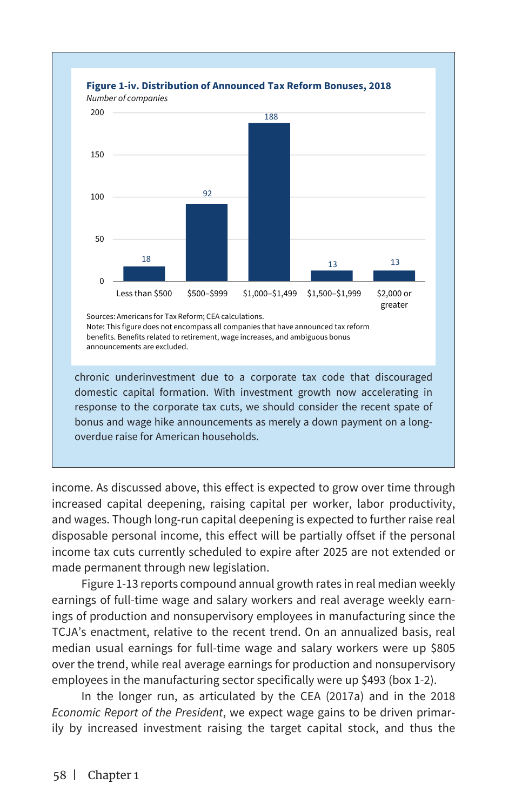

income. As discussed above, this effect is expected to grow over time through increased capital deepening, raising capital per worker, labor productivity, and wages. Though long-run capital deepening is expected to further raise real disposable personal income, this effect will be partially offset if the personal income tax cuts currently scheduled to expire after 2025 are not extended or made permanent through new legislation.

Figure 1-13 reports compound annual growth rates in real median weekly earnings of full-time wage and salary workers and real average weekly earnings of production and nonsupervisory employees in manufacturing since the TCJA's enactment, relative to the recent trend. On an annualized basis, real median usual earnings for full-time wage and salary workers were up \$805 over the trend, while real average earnings for production and nonsupervisory employees in the manufacturing sector specifically were up \$493 (box 1-2).

In the longer run, as articulated by the CEA (2017a) and in the 2018 *Economic Report of the President*, we expect wage gains to be driven primarily by increased investment raising the target capital stock, and thus the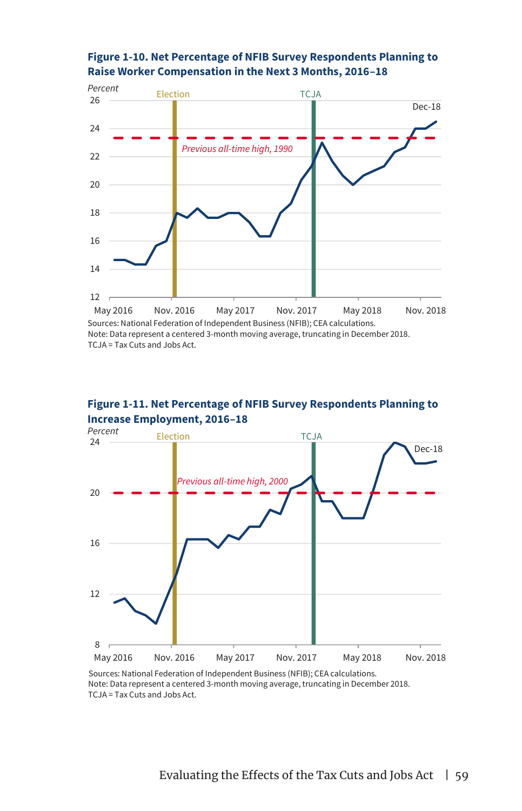

### Figure 1-10. Net Percentage of NFIB Survey Respondents Planning to Raise Worker Compensation in the Next 3 Months, 2016-18

Note: Data represent a centered 3-month moving average, truncating in December 2018. TCJA = Tax Cuts and Jobs Act.





Sources: National Federation of Independent Business (NFIB); CEA calculations. Note: Data represent a centered 3-month moving average, truncating in December 2018. TCJA = Tax Cuts and Jobs Act.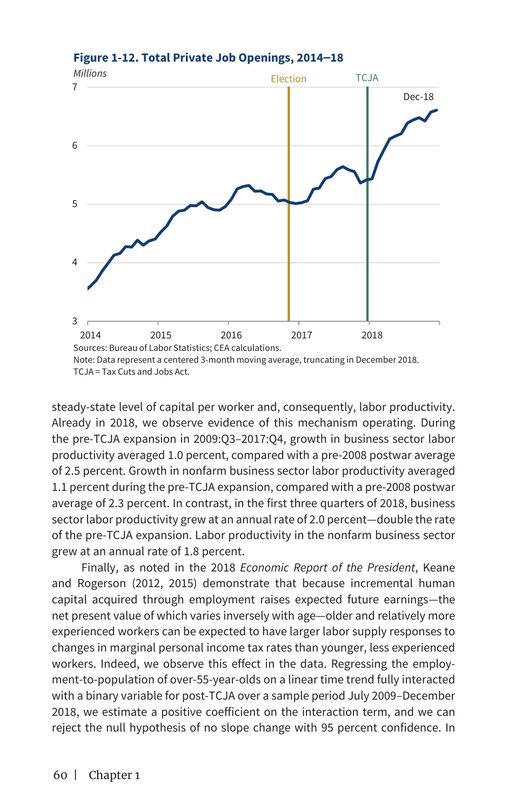

steady-state level of capital per worker and, consequently, labor productivity. Already in 2018, we observe evidence of this mechanism operating. During the pre-TCJA expansion in 2009:Q3-2017:Q4, growth in business sector labor productivity averaged 1.0 percent, compared with a pre-2008 postwar average of 2.5 percent. Growth in nonfarm business sector labor productivity averaged 1.1 percent during the pre-TCJA expansion, compared with a pre-2008 postwar average of 2.3 percent. In contrast, in the first three quarters of 2018, business sector labor productivity grew at an annual rate of 2.0 percent-double the rate of the pre-TCJA expansion. Labor productivity in the nonfarm business sector grew at an annual rate of 1.8 percent.

Finally, as noted in the 2018 Economic Report of the President, Keane and Rogerson (2012, 2015) demonstrate that because incremental human capital acquired through employment raises expected future earnings-the net present value of which varies inversely with age-older and relatively more experienced workers can be expected to have larger labor supply responses to changes in marginal personal income tax rates than younger, less experienced workers. Indeed, we observe this effect in the data. Regressing the employment-to-population of over-55-year-olds on a linear time trend fully interacted with a binary variable for post-TCJA over a sample period July 2009–December 2018, we estimate a positive coefficient on the interaction term, and we can reject the null hypothesis of no slope change with 95 percent confidence. In

# 60 | Chapter 1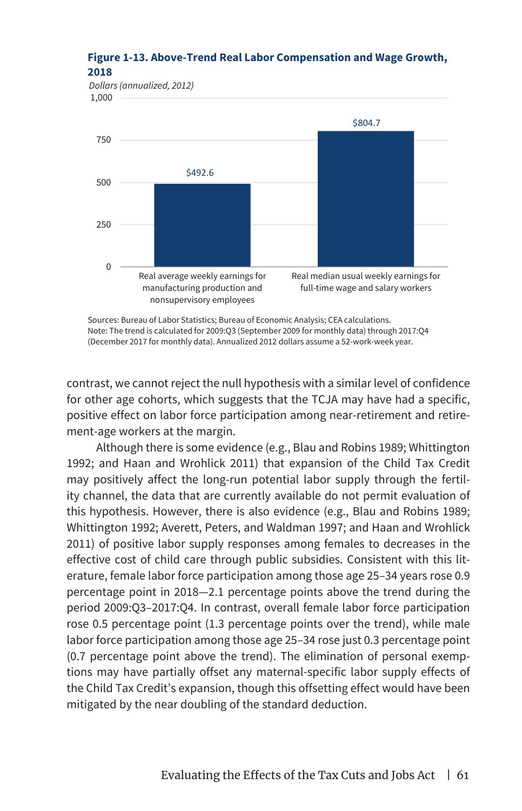### Figure 1-13. Above-Trend Real Labor Compensation and Wage Growth, 2018

Dollars (annualized, 2012) 1,000



Sources: Bureau of Labor Statistics; Bureau of Economic Analysis; CEA calculations. Note: The trend is calculated for 2009:Q3 (September 2009 for monthly data) through 2017:Q4 (December 2017 for monthly data). Annualized 2012 dollars assume a 52-work-week year.

contrast, we cannot reject the null hypothesis with a similar level of confidence for other age cohorts, which suggests that the TCJA may have had a specific, positive effect on labor force participation among near-retirement and retirement-age workers at the margin.

Although there is some evidence (e.g., Blau and Robins 1989; Whittington 1992; and Haan and Wrohlick 2011) that expansion of the Child Tax Credit may positively affect the long-run potential labor supply through the fertility channel, the data that are currently available do not permit evaluation of this hypothesis. However, there is also evidence (e.g., Blau and Robins 1989; Whittington 1992; Averett, Peters, and Waldman 1997; and Haan and Wrohlick 2011) of positive labor supply responses among females to decreases in the effective cost of child care through public subsidies. Consistent with this literature, female labor force participation among those age 25-34 years rose 0.9 percentage point in 2018-2.1 percentage points above the trend during the period 2009:Q3-2017:Q4. In contrast, overall female labor force participation rose 0.5 percentage point (1.3 percentage points over the trend), while male labor force participation among those age 25-34 rose just 0.3 percentage point (0.7 percentage point above the trend). The elimination of personal exemptions may have partially offset any maternal-specific labor supply effects of the Child Tax Credit's expansion, though this offsetting effect would have been mitigated by the near doubling of the standard deduction.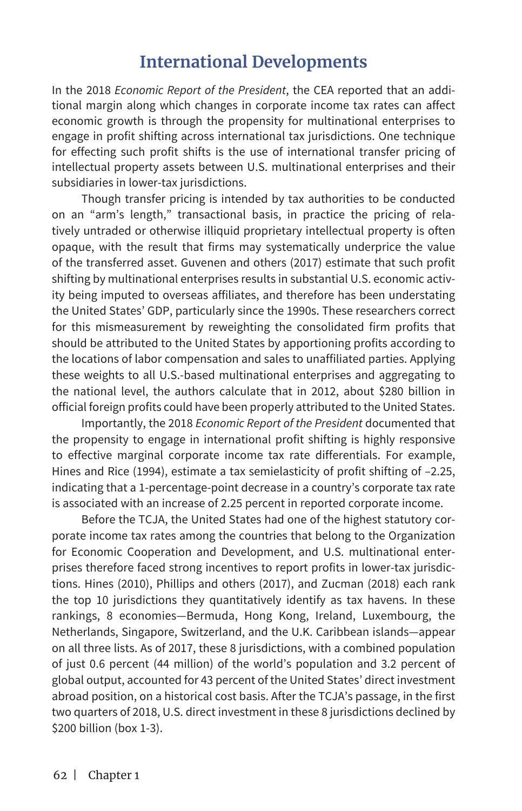# **International Developments**

In the 2018 *Economic Report of the President*, the CEA reported that an additional margin along which changes in corporate income tax rates can affect economic growth is through the propensity for multinational enterprises to engage in profit shifting across international tax jurisdictions. One technique for effecting such profit shifts is the use of international transfer pricing of intellectual property assets between U.S. multinational enterprises and their subsidiaries in lower-tax jurisdictions.

Though transfer pricing is intended by tax authorities to be conducted on an "arm's length," transactional basis, in practice the pricing of relatively untraded or otherwise illiquid proprietary intellectual property is often opaque, with the result that firms may systematically underprice the value of the transferred asset. Guvenen and others (2017) estimate that such profit shifting by multinational enterprises results in substantial U.S. economic activity being imputed to overseas affiliates, and therefore has been understating the United States' GDP, particularly since the 1990s. These researchers correct for this mismeasurement by reweighting the consolidated firm profits that should be attributed to the United States by apportioning profits according to the locations of labor compensation and sales to unaffiliated parties. Applying these weights to all U.S.-based multinational enterprises and aggregating to the national level, the authors calculate that in 2012, about \$280 billion in official foreign profits could have been properly attributed to the United States.

Importantly, the 2018 *Economic Report of the President* documented that the propensity to engage in international profit shifting is highly responsive to effective marginal corporate income tax rate differentials. For example, Hines and Rice (1994), estimate a tax semielasticity of profit shifting of –2.25, indicating that a 1-percentage-point decrease in a country's corporate tax rate is associated with an increase of 2.25 percent in reported corporate income.

Before the TCJA, the United States had one of the highest statutory corporate income tax rates among the countries that belong to the Organization for Economic Cooperation and Development, and U.S. multinational enterprises therefore faced strong incentives to report profits in lower-tax jurisdictions. Hines (2010), Phillips and others (2017), and Zucman (2018) each rank the top 10 jurisdictions they quantitatively identify as tax havens. In these rankings, 8 economies—Bermuda, Hong Kong, Ireland, Luxembourg, the Netherlands, Singapore, Switzerland, and the U.K. Caribbean islands—appear on all three lists. As of 2017, these 8 jurisdictions, with a combined population of just 0.6 percent (44 million) of the world's population and 3.2 percent of global output, accounted for 43 percent of the United States' direct investment abroad position, on a historical cost basis. After the TCJA's passage, in the first two quarters of 2018, U.S. direct investment in these 8 jurisdictions declined by \$200 billion (box 1-3).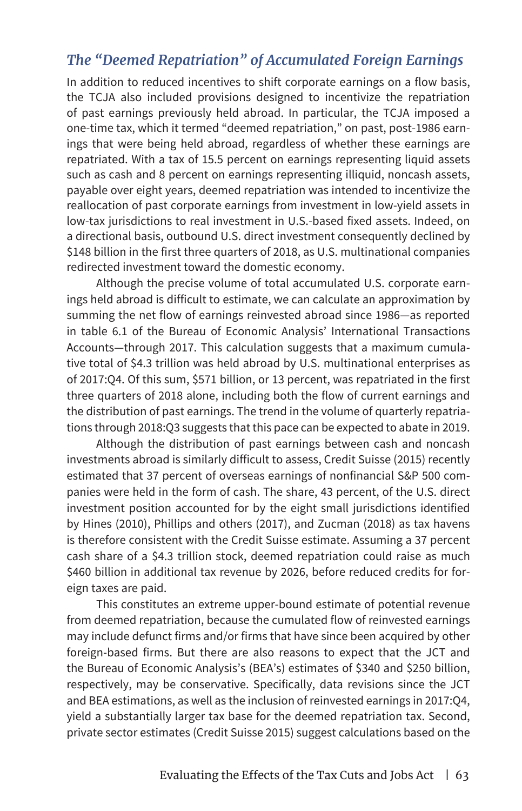### *The "Deemed Repatriation" of Accumulated Foreign Earnings*

In addition to reduced incentives to shift corporate earnings on a flow basis, the TCJA also included provisions designed to incentivize the repatriation of past earnings previously held abroad. In particular, the TCJA imposed a one-time tax, which it termed "deemed repatriation," on past, post-1986 earnings that were being held abroad, regardless of whether these earnings are repatriated. With a tax of 15.5 percent on earnings representing liquid assets such as cash and 8 percent on earnings representing illiquid, noncash assets, payable over eight years, deemed repatriation was intended to incentivize the reallocation of past corporate earnings from investment in low-yield assets in low-tax jurisdictions to real investment in U.S.-based fixed assets. Indeed, on a directional basis, outbound U.S. direct investment consequently declined by \$148 billion in the first three quarters of 2018, as U.S. multinational companies redirected investment toward the domestic economy.

Although the precise volume of total accumulated U.S. corporate earnings held abroad is difficult to estimate, we can calculate an approximation by summing the net flow of earnings reinvested abroad since 1986—as reported in table 6.1 of the Bureau of Economic Analysis' International Transactions Accounts—through 2017. This calculation suggests that a maximum cumulative total of \$4.3 trillion was held abroad by U.S. multinational enterprises as of 2017:Q4. Of this sum, \$571 billion, or 13 percent, was repatriated in the first three quarters of 2018 alone, including both the flow of current earnings and the distribution of past earnings. The trend in the volume of quarterly repatriations through 2018:Q3 suggests that this pace can be expected to abate in 2019.

Although the distribution of past earnings between cash and noncash investments abroad is similarly difficult to assess, Credit Suisse (2015) recently estimated that 37 percent of overseas earnings of nonfinancial S&P 500 companies were held in the form of cash. The share, 43 percent, of the U.S. direct investment position accounted for by the eight small jurisdictions identified by Hines (2010), Phillips and others (2017), and Zucman (2018) as tax havens is therefore consistent with the Credit Suisse estimate. Assuming a 37 percent cash share of a \$4.3 trillion stock, deemed repatriation could raise as much \$460 billion in additional tax revenue by 2026, before reduced credits for foreign taxes are paid.

This constitutes an extreme upper-bound estimate of potential revenue from deemed repatriation, because the cumulated flow of reinvested earnings may include defunct firms and/or firms that have since been acquired by other foreign-based firms. But there are also reasons to expect that the JCT and the Bureau of Economic Analysis's (BEA's) estimates of \$340 and \$250 billion, respectively, may be conservative. Specifically, data revisions since the JCT and BEA estimations, as well as the inclusion of reinvested earnings in 2017:Q4, yield a substantially larger tax base for the deemed repatriation tax. Second, private sector estimates (Credit Suisse 2015) suggest calculations based on the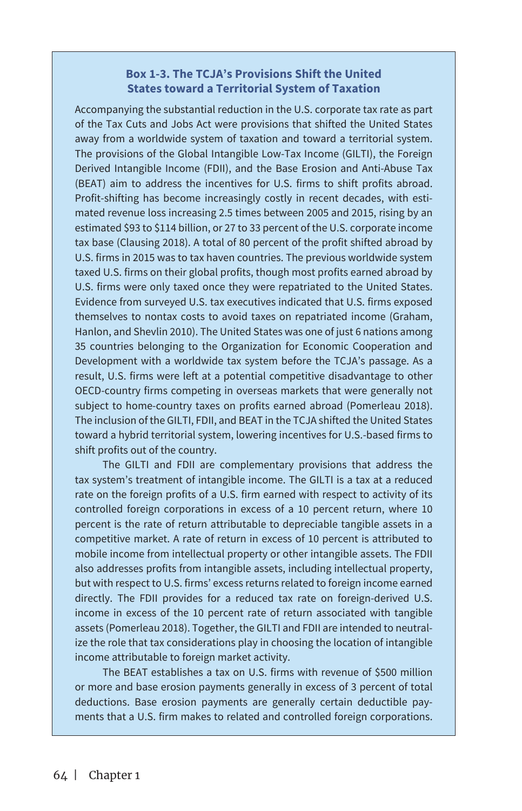### **Box 1-3. The TCJA's Provisions Shift the United States toward a Territorial System of Taxation**

Accompanying the substantial reduction in the U.S. corporate tax rate as part of the Tax Cuts and Jobs Act were provisions that shifted the United States away from a worldwide system of taxation and toward a territorial system. The provisions of the Global Intangible Low-Tax Income (GILTI), the Foreign Derived Intangible Income (FDII), and the Base Erosion and Anti-Abuse Tax (BEAT) aim to address the incentives for U.S. firms to shift profits abroad. Profit-shifting has become increasingly costly in recent decades, with estimated revenue loss increasing 2.5 times between 2005 and 2015, rising by an estimated \$93 to \$114 billion, or 27 to 33 percent of the U.S. corporate income tax base (Clausing 2018). A total of 80 percent of the profit shifted abroad by U.S. firms in 2015 was to tax haven countries. The previous worldwide system taxed U.S. firms on their global profits, though most profits earned abroad by U.S. firms were only taxed once they were repatriated to the United States. Evidence from surveyed U.S. tax executives indicated that U.S. firms exposed themselves to nontax costs to avoid taxes on repatriated income (Graham, Hanlon, and Shevlin 2010). The United States was one of just 6 nations among 35 countries belonging to the Organization for Economic Cooperation and Development with a worldwide tax system before the TCJA's passage. As a result, U.S. firms were left at a potential competitive disadvantage to other OECD-country firms competing in overseas markets that were generally not subject to home-country taxes on profits earned abroad (Pomerleau 2018). The inclusion of the GILTI, FDII, and BEAT in the TCJA shifted the United States toward a hybrid territorial system, lowering incentives for U.S.-based firms to shift profits out of the country.

The GILTI and FDII are complementary provisions that address the tax system's treatment of intangible income. The GILTI is a tax at a reduced rate on the foreign profits of a U.S. firm earned with respect to activity of its controlled foreign corporations in excess of a 10 percent return, where 10 percent is the rate of return attributable to depreciable tangible assets in a competitive market. A rate of return in excess of 10 percent is attributed to mobile income from intellectual property or other intangible assets. The FDII also addresses profits from intangible assets, including intellectual property, but with respect to U.S. firms' excess returns related to foreign income earned directly. The FDII provides for a reduced tax rate on foreign-derived U.S. income in excess of the 10 percent rate of return associated with tangible assets (Pomerleau 2018). Together, the GILTI and FDII are intended to neutralize the role that tax considerations play in choosing the location of intangible income attributable to foreign market activity.

The BEAT establishes a tax on U.S. firms with revenue of \$500 million or more and base erosion payments generally in excess of 3 percent of total deductions. Base erosion payments are generally certain deductible payments that a U.S. firm makes to related and controlled foreign corporations.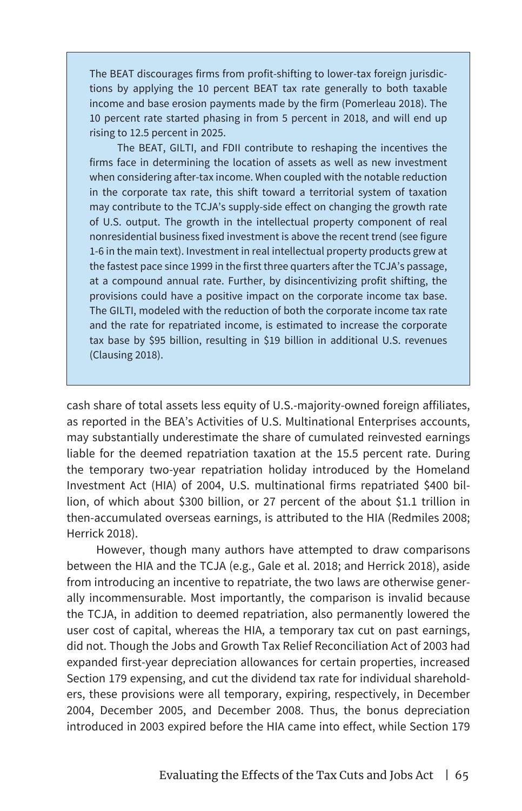The BEAT discourages firms from profit-shifting to lower-tax foreign jurisdictions by applying the 10 percent BEAT tax rate generally to both taxable income and base erosion payments made by the firm (Pomerleau 2018). The 10 percent rate started phasing in from 5 percent in 2018, and will end up rising to 12.5 percent in 2025.

The BEAT, GILTI, and FDII contribute to reshaping the incentives the firms face in determining the location of assets as well as new investment when considering after-tax income. When coupled with the notable reduction in the corporate tax rate, this shift toward a territorial system of taxation may contribute to the TCJA's supply-side effect on changing the growth rate of U.S. output. The growth in the intellectual property component of real nonresidential business fixed investment is above the recent trend (see figure 1-6 in the main text). Investment in real intellectual property products grew at the fastest pace since 1999 in the first three quarters after the TCJA's passage, at a compound annual rate. Further, by disincentivizing profit shifting, the provisions could have a positive impact on the corporate income tax base. The GILTI, modeled with the reduction of both the corporate income tax rate and the rate for repatriated income, is estimated to increase the corporate tax base by \$95 billion, resulting in \$19 billion in additional U.S. revenues (Clausing 2018).

cash share of total assets less equity of U.S.-majority-owned foreign affiliates, as reported in the BEA's Activities of U.S. Multinational Enterprises accounts, may substantially underestimate the share of cumulated reinvested earnings liable for the deemed repatriation taxation at the 15.5 percent rate. During the temporary two-year repatriation holiday introduced by the Homeland Investment Act (HIA) of 2004, U.S. multinational firms repatriated \$400 billion, of which about \$300 billion, or 27 percent of the about \$1.1 trillion in then-accumulated overseas earnings, is attributed to the HIA (Redmiles 2008; Herrick 2018).

However, though many authors have attempted to draw comparisons between the HIA and the TCJA (e.g., Gale et al. 2018; and Herrick 2018), aside from introducing an incentive to repatriate, the two laws are otherwise generally incommensurable. Most importantly, the comparison is invalid because the TCJA, in addition to deemed repatriation, also permanently lowered the user cost of capital, whereas the HIA, a temporary tax cut on past earnings, did not. Though the Jobs and Growth Tax Relief Reconciliation Act of 2003 had expanded first-year depreciation allowances for certain properties, increased Section 179 expensing, and cut the dividend tax rate for individual shareholders, these provisions were all temporary, expiring, respectively, in December 2004, December 2005, and December 2008. Thus, the bonus depreciation introduced in 2003 expired before the HIA came into effect, while Section 179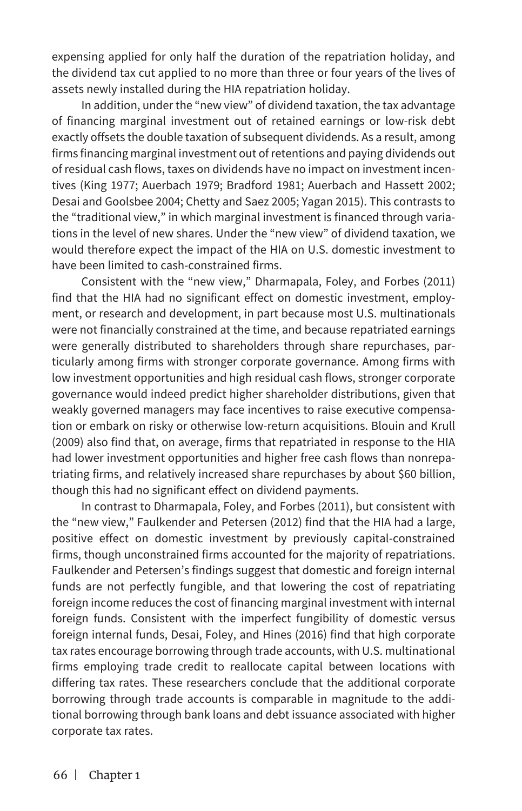expensing applied for only half the duration of the repatriation holiday, and the dividend tax cut applied to no more than three or four years of the lives of assets newly installed during the HIA repatriation holiday.

In addition, under the "new view" of dividend taxation, the tax advantage of financing marginal investment out of retained earnings or low-risk debt exactly offsets the double taxation of subsequent dividends. As a result, among firms financing marginal investment out of retentions and paying dividends out of residual cash flows, taxes on dividends have no impact on investment incentives (King 1977; Auerbach 1979; Bradford 1981; Auerbach and Hassett 2002; Desai and Goolsbee 2004; Chetty and Saez 2005; Yagan 2015). This contrasts to the "traditional view," in which marginal investment is financed through variations in the level of new shares. Under the "new view" of dividend taxation, we would therefore expect the impact of the HIA on U.S. domestic investment to have been limited to cash-constrained firms.

Consistent with the "new view," Dharmapala, Foley, and Forbes (2011) find that the HIA had no significant effect on domestic investment, employment, or research and development, in part because most U.S. multinationals were not financially constrained at the time, and because repatriated earnings were generally distributed to shareholders through share repurchases, particularly among firms with stronger corporate governance. Among firms with low investment opportunities and high residual cash flows, stronger corporate governance would indeed predict higher shareholder distributions, given that weakly governed managers may face incentives to raise executive compensation or embark on risky or otherwise low-return acquisitions. Blouin and Krull (2009) also find that, on average, firms that repatriated in response to the HIA had lower investment opportunities and higher free cash flows than nonrepatriating firms, and relatively increased share repurchases by about \$60 billion, though this had no significant effect on dividend payments.

In contrast to Dharmapala, Foley, and Forbes (2011), but consistent with the "new view," Faulkender and Petersen (2012) find that the HIA had a large, positive effect on domestic investment by previously capital-constrained firms, though unconstrained firms accounted for the majority of repatriations. Faulkender and Petersen's findings suggest that domestic and foreign internal funds are not perfectly fungible, and that lowering the cost of repatriating foreign income reduces the cost of financing marginal investment with internal foreign funds. Consistent with the imperfect fungibility of domestic versus foreign internal funds, Desai, Foley, and Hines (2016) find that high corporate tax rates encourage borrowing through trade accounts, with U.S. multinational firms employing trade credit to reallocate capital between locations with differing tax rates. These researchers conclude that the additional corporate borrowing through trade accounts is comparable in magnitude to the additional borrowing through bank loans and debt issuance associated with higher corporate tax rates.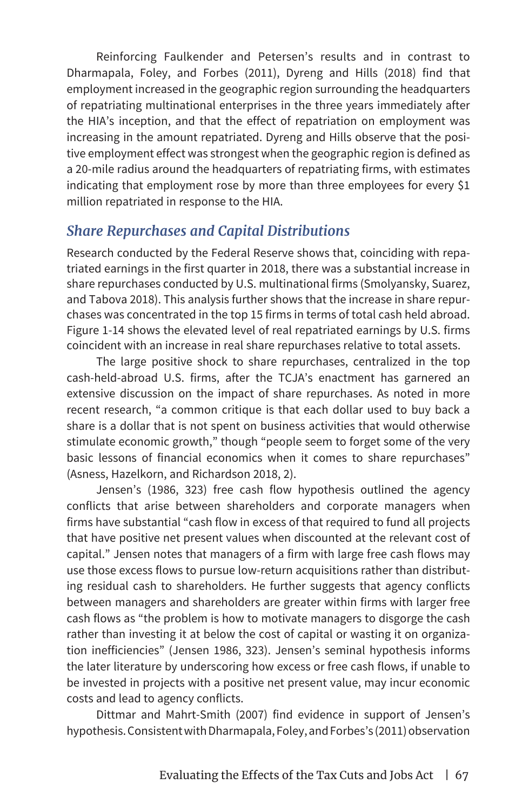Reinforcing Faulkender and Petersen's results and in contrast to Dharmapala, Foley, and Forbes (2011), Dyreng and Hills (2018) find that employment increased in the geographic region surrounding the headquarters of repatriating multinational enterprises in the three years immediately after the HIA's inception, and that the effect of repatriation on employment was increasing in the amount repatriated. Dyreng and Hills observe that the positive employment effect was strongest when the geographic region is defined as a 20-mile radius around the headquarters of repatriating firms, with estimates indicating that employment rose by more than three employees for every \$1 million repatriated in response to the HIA.

### *Share Repurchases and Capital Distributions*

Research conducted by the Federal Reserve shows that, coinciding with repatriated earnings in the first quarter in 2018, there was a substantial increase in share repurchases conducted by U.S. multinational firms (Smolyansky, Suarez, and Tabova 2018). This analysis further shows that the increase in share repurchases was concentrated in the top 15 firms in terms of total cash held abroad. Figure 1-14 shows the elevated level of real repatriated earnings by U.S. firms coincident with an increase in real share repurchases relative to total assets.

The large positive shock to share repurchases, centralized in the top cash-held-abroad U.S. firms, after the TCJA's enactment has garnered an extensive discussion on the impact of share repurchases. As noted in more recent research, "a common critique is that each dollar used to buy back a share is a dollar that is not spent on business activities that would otherwise stimulate economic growth," though "people seem to forget some of the very basic lessons of financial economics when it comes to share repurchases" (Asness, Hazelkorn, and Richardson 2018, 2).

Jensen's (1986, 323) free cash flow hypothesis outlined the agency conflicts that arise between shareholders and corporate managers when firms have substantial "cash flow in excess of that required to fund all projects that have positive net present values when discounted at the relevant cost of capital." Jensen notes that managers of a firm with large free cash flows may use those excess flows to pursue low-return acquisitions rather than distributing residual cash to shareholders. He further suggests that agency conflicts between managers and shareholders are greater within firms with larger free cash flows as "the problem is how to motivate managers to disgorge the cash rather than investing it at below the cost of capital or wasting it on organization inefficiencies" (Jensen 1986, 323). Jensen's seminal hypothesis informs the later literature by underscoring how excess or free cash flows, if unable to be invested in projects with a positive net present value, may incur economic costs and lead to agency conflicts.

Dittmar and Mahrt-Smith (2007) find evidence in support of Jensen's hypothesis. Consistent with Dharmapala, Foley, and Forbes's (2011) observation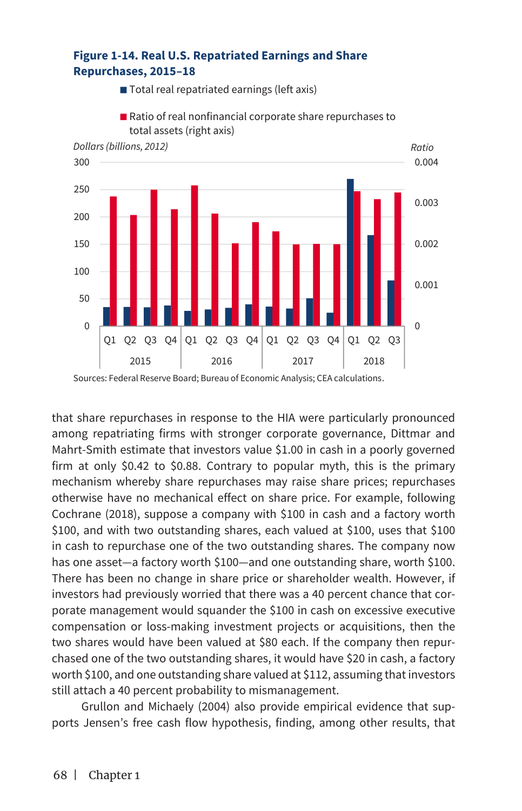

### Figure 1-14. Real U.S. Repatriated Earnings and Share Repurchases, 2015-18

Total real repatriated earnings (left axis)

Ratio of real nonfinancial corporate share repurchases to

Sources: Federal Reserve Board; Bureau of Economic Analysis; CEA calculations.

that share repurchases in response to the HIA were particularly pronounced among repatriating firms with stronger corporate governance, Dittmar and Mahrt-Smith estimate that investors value \$1.00 in cash in a poorly governed firm at only \$0.42 to \$0.88. Contrary to popular myth, this is the primary mechanism whereby share repurchases may raise share prices; repurchases otherwise have no mechanical effect on share price. For example, following Cochrane (2018), suppose a company with \$100 in cash and a factory worth \$100, and with two outstanding shares, each valued at \$100, uses that \$100 in cash to repurchase one of the two outstanding shares. The company now has one asset—a factory worth \$100—and one outstanding share, worth \$100. There has been no change in share price or shareholder wealth. However, if investors had previously worried that there was a 40 percent chance that corporate management would squander the \$100 in cash on excessive executive compensation or loss-making investment projects or acquisitions, then the two shares would have been valued at \$80 each. If the company then repurchased one of the two outstanding shares, it would have \$20 in cash, a factory worth \$100, and one outstanding share valued at \$112, assuming that investors still attach a 40 percent probability to mismanagement.

Grullon and Michaely (2004) also provide empirical evidence that supports Jensen's free cash flow hypothesis, finding, among other results, that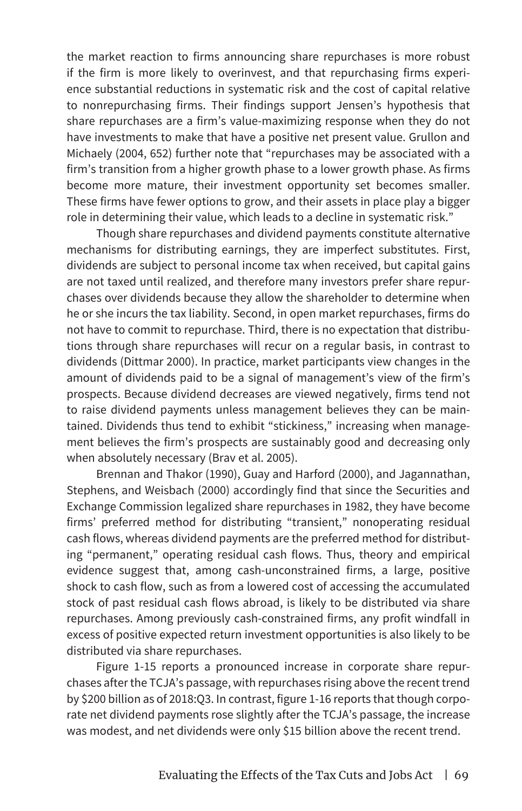the market reaction to firms announcing share repurchases is more robust if the firm is more likely to overinvest, and that repurchasing firms experience substantial reductions in systematic risk and the cost of capital relative to nonrepurchasing firms. Their findings support Jensen's hypothesis that share repurchases are a firm's value-maximizing response when they do not have investments to make that have a positive net present value. Grullon and Michaely (2004, 652) further note that "repurchases may be associated with a firm's transition from a higher growth phase to a lower growth phase. As firms become more mature, their investment opportunity set becomes smaller. These firms have fewer options to grow, and their assets in place play a bigger role in determining their value, which leads to a decline in systematic risk."

Though share repurchases and dividend payments constitute alternative mechanisms for distributing earnings, they are imperfect substitutes. First, dividends are subject to personal income tax when received, but capital gains are not taxed until realized, and therefore many investors prefer share repurchases over dividends because they allow the shareholder to determine when he or she incurs the tax liability. Second, in open market repurchases, firms do not have to commit to repurchase. Third, there is no expectation that distributions through share repurchases will recur on a regular basis, in contrast to dividends (Dittmar 2000). In practice, market participants view changes in the amount of dividends paid to be a signal of management's view of the firm's prospects. Because dividend decreases are viewed negatively, firms tend not to raise dividend payments unless management believes they can be maintained. Dividends thus tend to exhibit "stickiness," increasing when management believes the firm's prospects are sustainably good and decreasing only when absolutely necessary (Brav et al. 2005).

Brennan and Thakor (1990), Guay and Harford (2000), and Jagannathan, Stephens, and Weisbach (2000) accordingly find that since the Securities and Exchange Commission legalized share repurchases in 1982, they have become firms' preferred method for distributing "transient," nonoperating residual cash flows, whereas dividend payments are the preferred method for distributing "permanent," operating residual cash flows. Thus, theory and empirical evidence suggest that, among cash-unconstrained firms, a large, positive shock to cash flow, such as from a lowered cost of accessing the accumulated stock of past residual cash flows abroad, is likely to be distributed via share repurchases. Among previously cash-constrained firms, any profit windfall in excess of positive expected return investment opportunities is also likely to be distributed via share repurchases.

Figure 1-15 reports a pronounced increase in corporate share repurchases after the TCJA's passage, with repurchases rising above the recent trend by \$200 billion as of 2018:Q3. In contrast, figure 1-16 reports that though corporate net dividend payments rose slightly after the TCJA's passage, the increase was modest, and net dividends were only \$15 billion above the recent trend.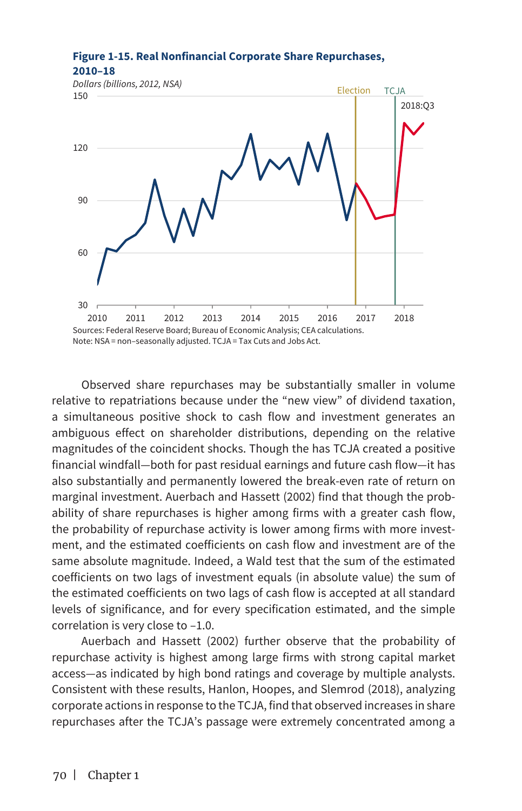

Observed share repurchases may be substantially smaller in volume relative to repatriations because under the "new view" of dividend taxation, a simultaneous positive shock to cash flow and investment generates an ambiguous effect on shareholder distributions, depending on the relative magnitudes of the coincident shocks. Though the has TCJA created a positive financial windfall-both for past residual earnings and future cash flow-it has also substantially and permanently lowered the break-even rate of return on marginal investment. Auerbach and Hassett (2002) find that though the probability of share repurchases is higher among firms with a greater cash flow, the probability of repurchase activity is lower among firms with more investment, and the estimated coefficients on cash flow and investment are of the same absolute magnitude. Indeed, a Wald test that the sum of the estimated coefficients on two lags of investment equals (in absolute value) the sum of the estimated coefficients on two lags of cash flow is accepted at all standard levels of significance, and for every specification estimated, and the simple correlation is very close to -1.0.

Auerbach and Hassett (2002) further observe that the probability of repurchase activity is highest among large firms with strong capital market access-as indicated by high bond ratings and coverage by multiple analysts. Consistent with these results, Hanlon, Hoopes, and Slemrod (2018), analyzing corporate actions in response to the TCJA, find that observed increases in share repurchases after the TCJA's passage were extremely concentrated among a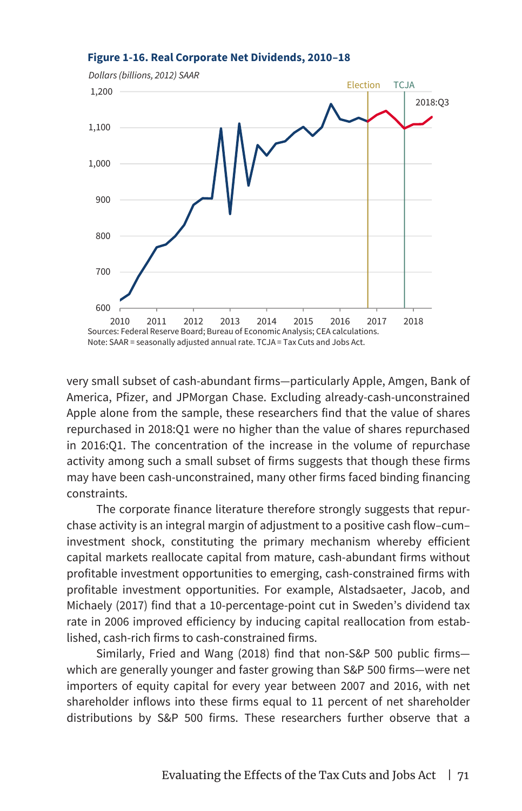

#### Figure 1-16. Real Corporate Net Dividends, 2010-18

very small subset of cash-abundant firms-particularly Apple, Amgen, Bank of America, Pfizer, and JPMorgan Chase. Excluding already-cash-unconstrained Apple alone from the sample, these researchers find that the value of shares repurchased in 2018:Q1 were no higher than the value of shares repurchased in 2016:01. The concentration of the increase in the volume of repurchase activity among such a small subset of firms suggests that though these firms may have been cash-unconstrained, many other firms faced binding financing constraints.

The corporate finance literature therefore strongly suggests that repurchase activity is an integral margin of adjustment to a positive cash flow-cuminvestment shock, constituting the primary mechanism whereby efficient capital markets reallocate capital from mature, cash-abundant firms without profitable investment opportunities to emerging, cash-constrained firms with profitable investment opportunities. For example, Alstadsaeter, Jacob, and Michaely (2017) find that a 10-percentage-point cut in Sweden's dividend tax rate in 2006 improved efficiency by inducing capital reallocation from established, cash-rich firms to cash-constrained firms.

Similarly, Fried and Wang (2018) find that non-S&P 500 public firmswhich are generally younger and faster growing than S&P 500 firms-were net importers of equity capital for every year between 2007 and 2016, with net shareholder inflows into these firms equal to 11 percent of net shareholder distributions by S&P 500 firms. These researchers further observe that a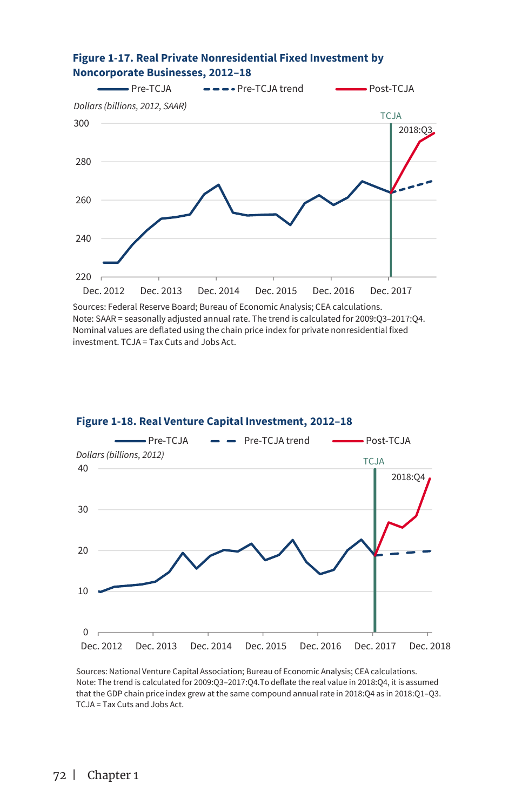

### Figure 1-17. Real Private Nonresidential Fixed Investment by **Noncorporate Businesses, 2012-18**

Sources: Federal Reserve Board; Bureau of Economic Analysis; CEA calculations. Note: SAAR = seasonally adjusted annual rate. The trend is calculated for 2009:Q3-2017:Q4. Nominal values are deflated using the chain price index for private nonresidential fixed investment. TCJA = Tax Cuts and Jobs Act.



### Figure 1-18. Real Venture Capital Investment, 2012-18

Sources: National Venture Capital Association; Bureau of Economic Analysis; CEA calculations. Note: The trend is calculated for 2009:Q3-2017:Q4.To deflate the real value in 2018:Q4, it is assumed that the GDP chain price index grew at the same compound annual rate in 2018:Q4 as in 2018:Q1-Q3. TCJA = Tax Cuts and Jobs Act.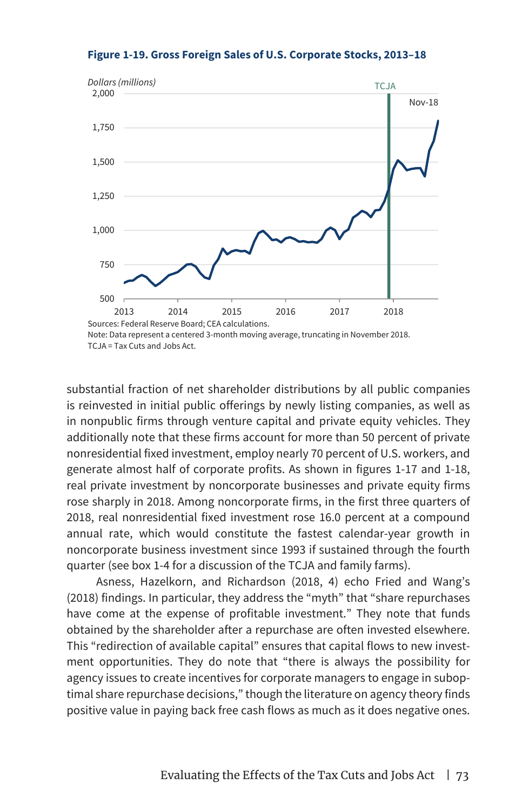

#### Figure 1-19. Gross Foreign Sales of U.S. Corporate Stocks, 2013-18

substantial fraction of net shareholder distributions by all public companies is reinvested in initial public offerings by newly listing companies, as well as in nonpublic firms through venture capital and private equity vehicles. They additionally note that these firms account for more than 50 percent of private nonresidential fixed investment, employ nearly 70 percent of U.S. workers, and generate almost half of corporate profits. As shown in figures 1-17 and 1-18, real private investment by noncorporate businesses and private equity firms rose sharply in 2018. Among noncorporate firms, in the first three quarters of 2018, real nonresidential fixed investment rose 16.0 percent at a compound annual rate, which would constitute the fastest calendar-year growth in noncorporate business investment since 1993 if sustained through the fourth quarter (see box 1-4 for a discussion of the TCJA and family farms).

Asness, Hazelkorn, and Richardson (2018, 4) echo Fried and Wang's (2018) findings. In particular, they address the "myth" that "share repurchases have come at the expense of profitable investment." They note that funds obtained by the shareholder after a repurchase are often invested elsewhere. This "redirection of available capital" ensures that capital flows to new investment opportunities. They do note that "there is always the possibility for agency issues to create incentives for corporate managers to engage in suboptimal share repurchase decisions," though the literature on agency theory finds positive value in paying back free cash flows as much as it does negative ones.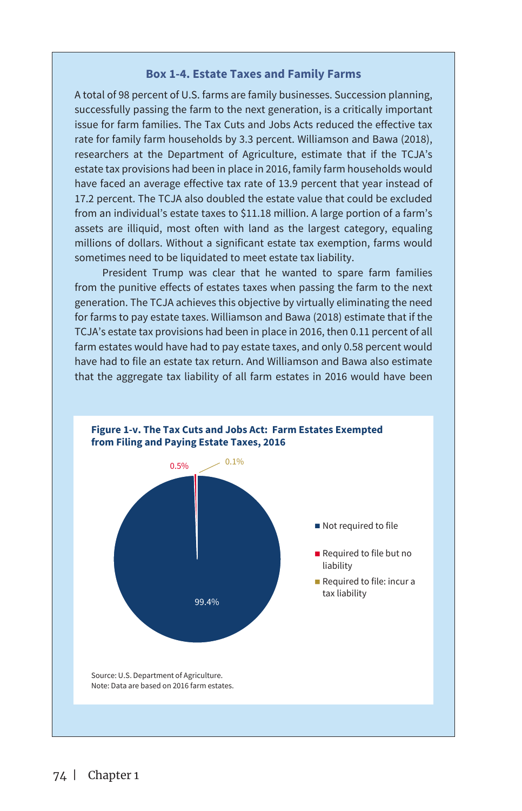#### **Box 1-4. Estate Taxes and Family Farms**

A total of 98 percent of U.S. farms are family businesses. Succession planning, successfully passing the farm to the next generation, is a critically important issue for farm families. The Tax Cuts and Jobs Acts reduced the effective tax rate for family farm households by 3.3 percent. Williamson and Bawa (2018), researchers at the Department of Agriculture, estimate that if the TCJA's estate tax provisions had been in place in 2016, family farm households would have faced an average effective tax rate of 13.9 percent that year instead of 17.2 percent. The TCJA also doubled the estate value that could be excluded from an individual's estate taxes to \$11.18 million. A large portion of a farm's assets are illiquid, most often with land as the largest category, equaling millions of dollars. Without a significant estate tax exemption, farms would sometimes need to be liquidated to meet estate tax liability.

President Trump was clear that he wanted to spare farm families from the punitive effects of estates taxes when passing the farm to the next generation. The TCJA achieves this objective by virtually eliminating the need for farms to pay estate taxes. Williamson and Bawa (2018) estimate that if the TCJA's estate tax provisions had been in place in 2016, then 0.11 percent of all farm estates would have had to pay estate taxes, and only 0.58 percent would have had to file an estate tax return. And Williamson and Bawa also estimate that the aggregate tax liability of all farm estates in 2016 would have been

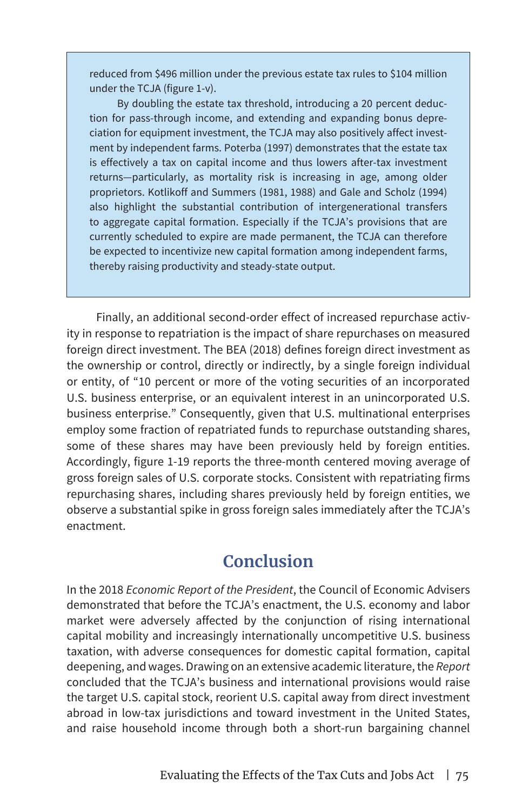reduced from \$496 million under the previous estate tax rules to \$104 million under the TCJA (figure 1-v).

By doubling the estate tax threshold, introducing a 20 percent deduction for pass-through income, and extending and expanding bonus depreciation for equipment investment, the TCJA may also positively affect investment by independent farms. Poterba (1997) demonstrates that the estate tax is effectively a tax on capital income and thus lowers after-tax investment returns—particularly, as mortality risk is increasing in age, among older proprietors. Kotlikoff and Summers (1981, 1988) and Gale and Scholz (1994) also highlight the substantial contribution of intergenerational transfers to aggregate capital formation. Especially if the TCJA's provisions that are currently scheduled to expire are made permanent, the TCJA can therefore be expected to incentivize new capital formation among independent farms, thereby raising productivity and steady-state output.

Finally, an additional second-order effect of increased repurchase activity in response to repatriation is the impact of share repurchases on measured foreign direct investment. The BEA (2018) defines foreign direct investment as the ownership or control, directly or indirectly, by a single foreign individual or entity, of "10 percent or more of the voting securities of an incorporated U.S. business enterprise, or an equivalent interest in an unincorporated U.S. business enterprise." Consequently, given that U.S. multinational enterprises employ some fraction of repatriated funds to repurchase outstanding shares, some of these shares may have been previously held by foreign entities. Accordingly, figure 1-19 reports the three-month centered moving average of gross foreign sales of U.S. corporate stocks. Consistent with repatriating firms repurchasing shares, including shares previously held by foreign entities, we observe a substantial spike in gross foreign sales immediately after the TCJA's enactment.

# **Conclusion**

In the 2018 *Economic Report of the President*, the Council of Economic Advisers demonstrated that before the TCJA's enactment, the U.S. economy and labor market were adversely affected by the conjunction of rising international capital mobility and increasingly internationally uncompetitive U.S. business taxation, with adverse consequences for domestic capital formation, capital deepening, and wages. Drawing on an extensive academic literature, the *Report* concluded that the TCJA's business and international provisions would raise the target U.S. capital stock, reorient U.S. capital away from direct investment abroad in low-tax jurisdictions and toward investment in the United States, and raise household income through both a short-run bargaining channel